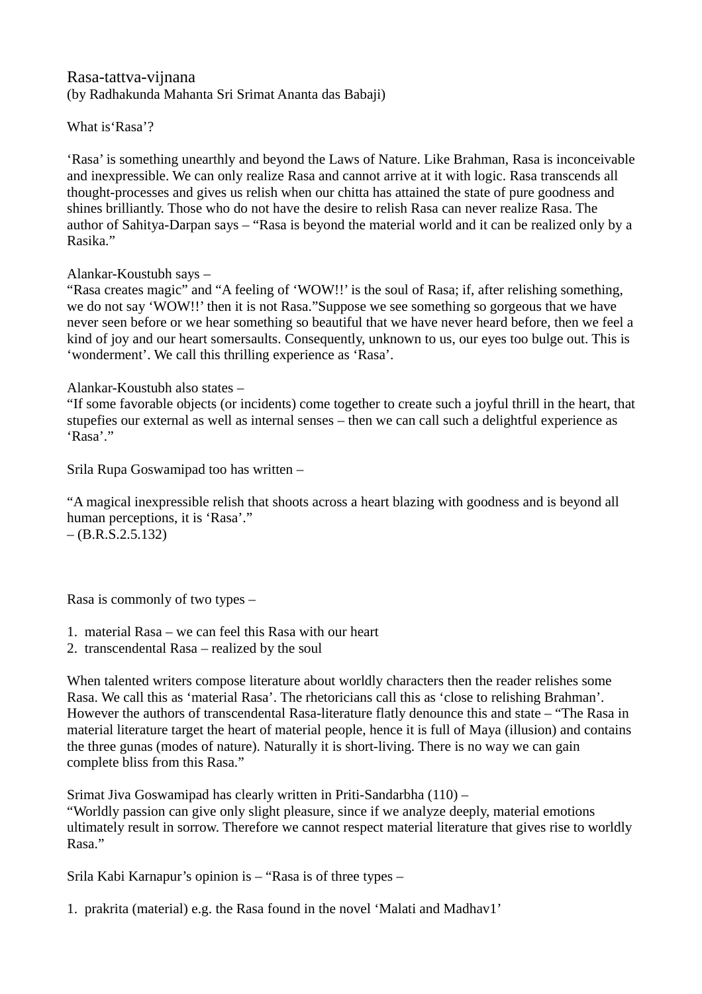# Rasa-tattva-vijnana (by Radhakunda Mahanta Sri Srimat Ananta das Babaji)

What is'Rasa'?

'Rasa' is something unearthly and beyond the Laws of Nature. Like Brahman, Rasa is inconceivable and inexpressible. We can only realize Rasa and cannot arrive at it with logic. Rasa transcends all thought-processes and gives us relish when our chitta has attained the state of pure goodness and shines brilliantly. Those who do not have the desire to relish Rasa can never realize Rasa. The author of Sahitya-Darpan says – "Rasa is beyond the material world and it can be realized only by a Rasika."

Alankar-Koustubh says –

"Rasa creates magic" and "A feeling of 'WOW!!' is the soul of Rasa; if, after relishing something, we do not say 'WOW!!' then it is not Rasa."Suppose we see something so gorgeous that we have never seen before or we hear something so beautiful that we have never heard before, then we feel a kind of joy and our heart somersaults. Consequently, unknown to us, our eyes too bulge out. This is 'wonderment'. We call this thrilling experience as 'Rasa'.

### Alankar-Koustubh also states –

"If some favorable objects (or incidents) come together to create such a joyful thrill in the heart, that stupefies our external as well as internal senses – then we can call such a delightful experience as 'Rasa'."

Srila Rupa Goswamipad too has written –

"A magical inexpressible relish that shoots across a heart blazing with goodness and is beyond all human perceptions, it is 'Rasa'."  $-(B.R.S.2.5.132)$ 

Rasa is commonly of two types –

- 1. material Rasa we can feel this Rasa with our heart
- 2. transcendental Rasa realized by the soul

When talented writers compose literature about worldly characters then the reader relishes some Rasa. We call this as 'material Rasa'. The rhetoricians call this as 'close to relishing Brahman'. However the authors of transcendental Rasa-literature flatly denounce this and state – "The Rasa in material literature target the heart of material people, hence it is full of Maya (illusion) and contains the three gunas (modes of nature). Naturally it is short-living. There is no way we can gain complete bliss from this Rasa."

Srimat Jiva Goswamipad has clearly written in Priti-Sandarbha (110) –

"Worldly passion can give only slight pleasure, since if we analyze deeply, material emotions ultimately result in sorrow. Therefore we cannot respect material literature that gives rise to worldly Rasa."

Srila Kabi Karnapur's opinion is – "Rasa is of three types –

1. prakrita (material) e.g. the Rasa found in the novel 'Malati and Madhav1'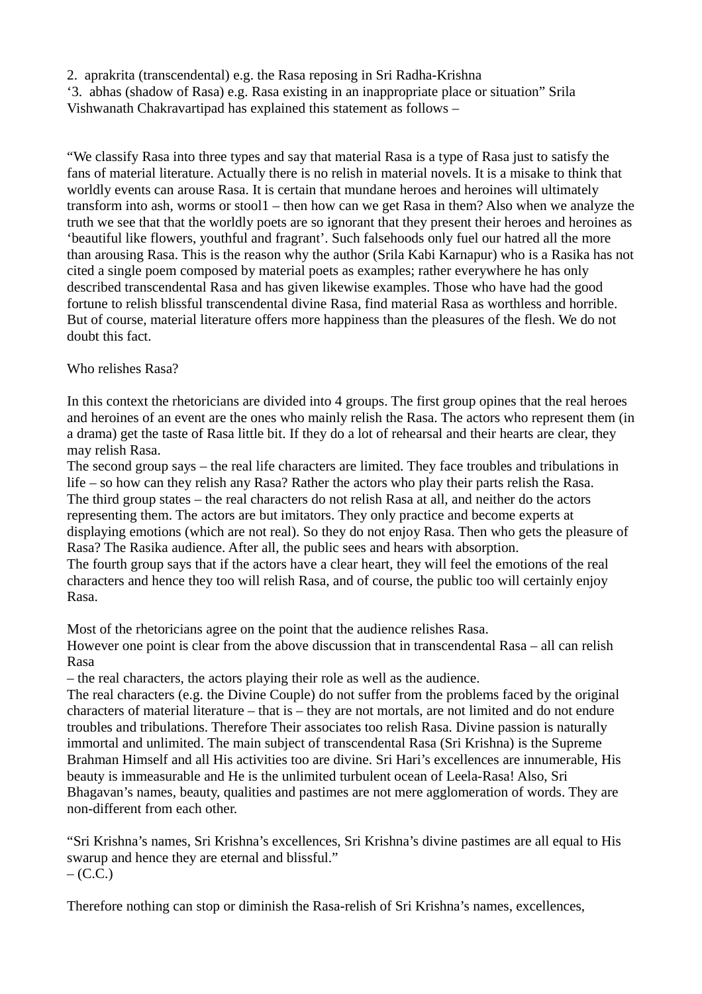2. aprakrita (transcendental) e.g. the Rasa reposing in Sri Radha-Krishna

'3. abhas (shadow of Rasa) e.g. Rasa existing in an inappropriate place or situation" Srila Vishwanath Chakravartipad has explained this statement as follows –

"We classify Rasa into three types and say that material Rasa is a type of Rasa just to satisfy the fans of material literature. Actually there is no relish in material novels. It is a misake to think that worldly events can arouse Rasa. It is certain that mundane heroes and heroines will ultimately transform into ash, worms or stool1 – then how can we get Rasa in them? Also when we analyze the truth we see that that the worldly poets are so ignorant that they present their heroes and heroines as 'beautiful like flowers, youthful and fragrant'. Such falsehoods only fuel our hatred all the more than arousing Rasa. This is the reason why the author (Srila Kabi Karnapur) who is a Rasika has not cited a single poem composed by material poets as examples; rather everywhere he has only described transcendental Rasa and has given likewise examples. Those who have had the good fortune to relish blissful transcendental divine Rasa, find material Rasa as worthless and horrible. But of course, material literature offers more happiness than the pleasures of the flesh. We do not doubt this fact.

# Who relishes Rasa?

In this context the rhetoricians are divided into 4 groups. The first group opines that the real heroes and heroines of an event are the ones who mainly relish the Rasa. The actors who represent them (in a drama) get the taste of Rasa little bit. If they do a lot of rehearsal and their hearts are clear, they may relish Rasa.

The second group says – the real life characters are limited. They face troubles and tribulations in life – so how can they relish any Rasa? Rather the actors who play their parts relish the Rasa. The third group states – the real characters do not relish Rasa at all, and neither do the actors representing them. The actors are but imitators. They only practice and become experts at displaying emotions (which are not real). So they do not enjoy Rasa. Then who gets the pleasure of Rasa? The Rasika audience. After all, the public sees and hears with absorption.

The fourth group says that if the actors have a clear heart, they will feel the emotions of the real characters and hence they too will relish Rasa, and of course, the public too will certainly enjoy Rasa.

Most of the rhetoricians agree on the point that the audience relishes Rasa.

However one point is clear from the above discussion that in transcendental Rasa – all can relish Rasa

– the real characters, the actors playing their role as well as the audience.

The real characters (e.g. the Divine Couple) do not suffer from the problems faced by the original characters of material literature – that is – they are not mortals, are not limited and do not endure troubles and tribulations. Therefore Their associates too relish Rasa. Divine passion is naturally immortal and unlimited. The main subject of transcendental Rasa (Sri Krishna) is the Supreme Brahman Himself and all His activities too are divine. Sri Hari's excellences are innumerable, His beauty is immeasurable and He is the unlimited turbulent ocean of Leela-Rasa! Also, Sri Bhagavan's names, beauty, qualities and pastimes are not mere agglomeration of words. They are non-different from each other.

"Sri Krishna's names, Sri Krishna's excellences, Sri Krishna's divine pastimes are all equal to His swarup and hence they are eternal and blissful."  $-$  (C.C.)

Therefore nothing can stop or diminish the Rasa-relish of Sri Krishna's names, excellences,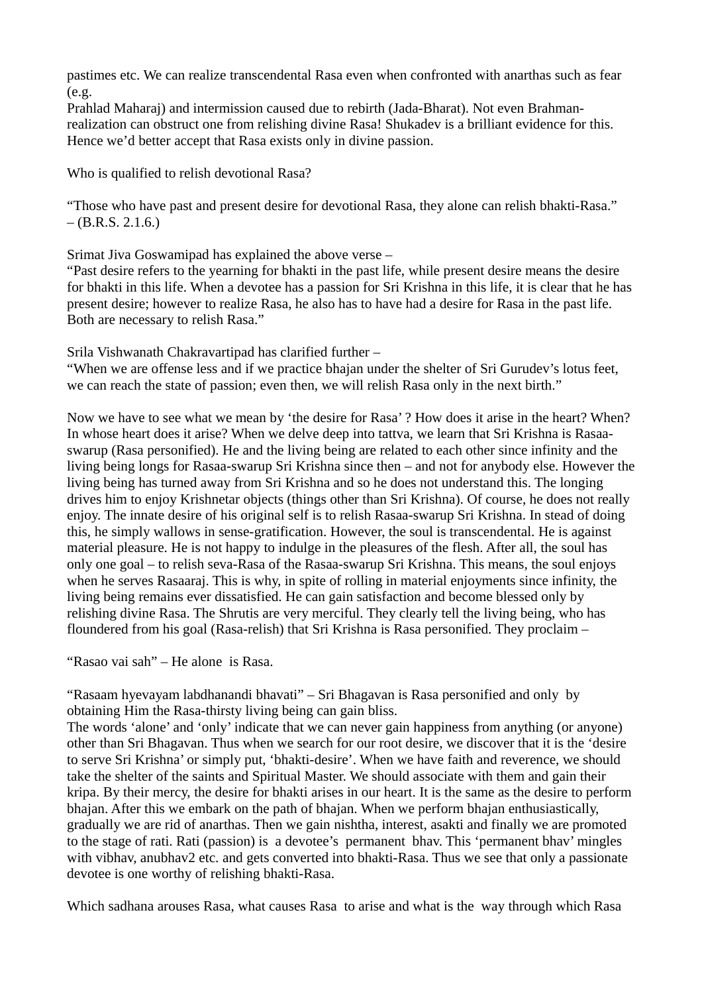pastimes etc. We can realize transcendental Rasa even when confronted with anarthas such as fear (e.g.

Prahlad Maharaj) and intermission caused due to rebirth (Jada-Bharat). Not even Brahmanrealization can obstruct one from relishing divine Rasa! Shukadev is a brilliant evidence for this. Hence we'd better accept that Rasa exists only in divine passion.

Who is qualified to relish devotional Rasa?

"Those who have past and present desire for devotional Rasa, they alone can relish bhakti-Rasa."  $-$  (B.R.S. 2.1.6.)

Srimat Jiva Goswamipad has explained the above verse –

"Past desire refers to the yearning for bhakti in the past life, while present desire means the desire for bhakti in this life. When a devotee has a passion for Sri Krishna in this life, it is clear that he has present desire; however to realize Rasa, he also has to have had a desire for Rasa in the past life. Both are necessary to relish Rasa."

Srila Vishwanath Chakravartipad has clarified further –

"When we are offense less and if we practice bhajan under the shelter of Sri Gurudev's lotus feet, we can reach the state of passion; even then, we will relish Rasa only in the next birth."

Now we have to see what we mean by 'the desire for Rasa' ? How does it arise in the heart? When? In whose heart does it arise? When we delve deep into tattva, we learn that Sri Krishna is Rasaaswarup (Rasa personified). He and the living being are related to each other since infinity and the living being longs for Rasaa-swarup Sri Krishna since then – and not for anybody else. However the living being has turned away from Sri Krishna and so he does not understand this. The longing drives him to enjoy Krishnetar objects (things other than Sri Krishna). Of course, he does not really enjoy. The innate desire of his original self is to relish Rasaa-swarup Sri Krishna. In stead of doing this, he simply wallows in sense-gratification. However, the soul is transcendental. He is against material pleasure. He is not happy to indulge in the pleasures of the flesh. After all, the soul has only one goal – to relish seva-Rasa of the Rasaa-swarup Sri Krishna. This means, the soul enjoys when he serves Rasaaraj. This is why, in spite of rolling in material enjoyments since infinity, the living being remains ever dissatisfied. He can gain satisfaction and become blessed only by relishing divine Rasa. The Shrutis are very merciful. They clearly tell the living being, who has floundered from his goal (Rasa-relish) that Sri Krishna is Rasa personified. They proclaim –

"Rasao vai sah" – He alone is Rasa.

"Rasaam hyevayam labdhanandi bhavati" – Sri Bhagavan is Rasa personified and only by obtaining Him the Rasa-thirsty living being can gain bliss.

The words 'alone' and 'only' indicate that we can never gain happiness from anything (or anyone) other than Sri Bhagavan. Thus when we search for our root desire, we discover that it is the 'desire to serve Sri Krishna' or simply put, 'bhakti-desire'. When we have faith and reverence, we should take the shelter of the saints and Spiritual Master. We should associate with them and gain their kripa. By their mercy, the desire for bhakti arises in our heart. It is the same as the desire to perform bhajan. After this we embark on the path of bhajan. When we perform bhajan enthusiastically, gradually we are rid of anarthas. Then we gain nishtha, interest, asakti and finally we are promoted to the stage of rati. Rati (passion) is a devotee's permanent bhav. This 'permanent bhav' mingles with vibhav, anubhav2 etc. and gets converted into bhakti-Rasa. Thus we see that only a passionate devotee is one worthy of relishing bhakti-Rasa.

Which sadhana arouses Rasa, what causes Rasa to arise and what is the way through which Rasa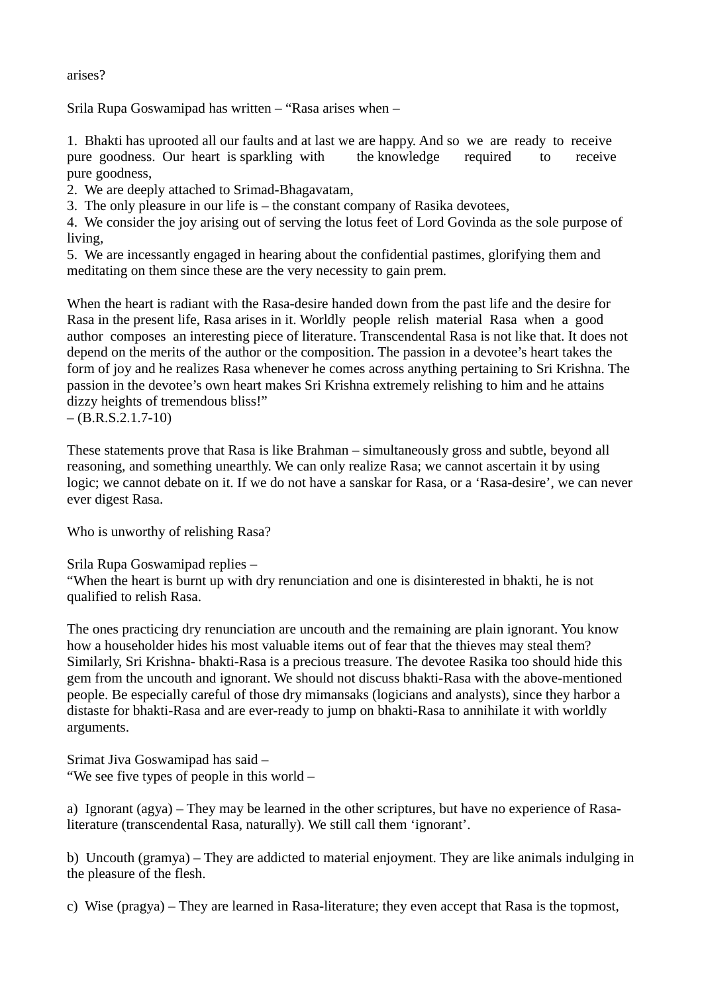arises?

Srila Rupa Goswamipad has written – "Rasa arises when –

1. Bhakti has uprooted all our faults and at last we are happy. And so we are ready to receive pure goodness. Our heart is sparkling with the knowledge required to receive pure goodness,

2. We are deeply attached to Srimad-Bhagavatam,

3. The only pleasure in our life is – the constant company of Rasika devotees,

4. We consider the joy arising out of serving the lotus feet of Lord Govinda as the sole purpose of living,

5. We are incessantly engaged in hearing about the confidential pastimes, glorifying them and meditating on them since these are the very necessity to gain prem.

When the heart is radiant with the Rasa-desire handed down from the past life and the desire for Rasa in the present life, Rasa arises in it. Worldly people relish material Rasa when a good author composes an interesting piece of literature. Transcendental Rasa is not like that. It does not depend on the merits of the author or the composition. The passion in a devotee's heart takes the form of joy and he realizes Rasa whenever he comes across anything pertaining to Sri Krishna. The passion in the devotee's own heart makes Sri Krishna extremely relishing to him and he attains dizzy heights of tremendous bliss!"

 $-$  (B.R.S.2.1.7-10)

These statements prove that Rasa is like Brahman – simultaneously gross and subtle, beyond all reasoning, and something unearthly. We can only realize Rasa; we cannot ascertain it by using logic; we cannot debate on it. If we do not have a sanskar for Rasa, or a 'Rasa-desire', we can never ever digest Rasa.

Who is unworthy of relishing Rasa?

Srila Rupa Goswamipad replies –

"When the heart is burnt up with dry renunciation and one is disinterested in bhakti, he is not qualified to relish Rasa.

The ones practicing dry renunciation are uncouth and the remaining are plain ignorant. You know how a householder hides his most valuable items out of fear that the thieves may steal them? Similarly, Sri Krishna- bhakti-Rasa is a precious treasure. The devotee Rasika too should hide this gem from the uncouth and ignorant. We should not discuss bhakti-Rasa with the above-mentioned people. Be especially careful of those dry mimansaks (logicians and analysts), since they harbor a distaste for bhakti-Rasa and are ever-ready to jump on bhakti-Rasa to annihilate it with worldly arguments.

Srimat Jiva Goswamipad has said – "We see five types of people in this world –

a) Ignorant (agya) – They may be learned in the other scriptures, but have no experience of Rasaliterature (transcendental Rasa, naturally). We still call them 'ignorant'.

b) Uncouth (gramya) – They are addicted to material enjoyment. They are like animals indulging in the pleasure of the flesh.

c) Wise (pragya) – They are learned in Rasa-literature; they even accept that Rasa is the topmost,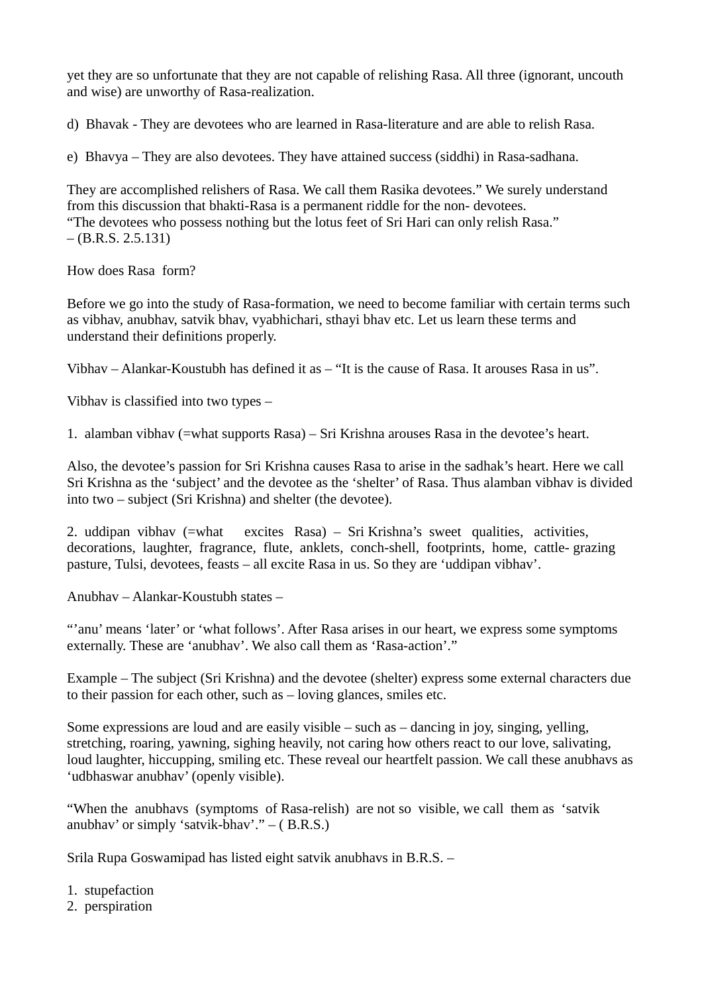yet they are so unfortunate that they are not capable of relishing Rasa. All three (ignorant, uncouth and wise) are unworthy of Rasa-realization.

d) Bhavak - They are devotees who are learned in Rasa-literature and are able to relish Rasa.

e) Bhavya – They are also devotees. They have attained success (siddhi) in Rasa-sadhana.

They are accomplished relishers of Rasa. We call them Rasika devotees." We surely understand from this discussion that bhakti-Rasa is a permanent riddle for the non- devotees. "The devotees who possess nothing but the lotus feet of Sri Hari can only relish Rasa."  $-$  (B.R.S. 2.5.131)

How does Rasa form?

Before we go into the study of Rasa-formation, we need to become familiar with certain terms such as vibhav, anubhav, satvik bhav, vyabhichari, sthayi bhav etc. Let us learn these terms and understand their definitions properly.

Vibhav – Alankar-Koustubh has defined it as – "It is the cause of Rasa. It arouses Rasa in us".

Vibhav is classified into two types –

1. alamban vibhav (=what supports Rasa) – Sri Krishna arouses Rasa in the devotee's heart.

Also, the devotee's passion for Sri Krishna causes Rasa to arise in the sadhak's heart. Here we call Sri Krishna as the 'subject' and the devotee as the 'shelter' of Rasa. Thus alamban vibhav is divided into two – subject (Sri Krishna) and shelter (the devotee).

2. uddipan vibhav (=what excites Rasa) – Sri Krishna's sweet qualities, activities, decorations, laughter, fragrance, flute, anklets, conch-shell, footprints, home, cattle- grazing pasture, Tulsi, devotees, feasts – all excite Rasa in us. So they are 'uddipan vibhav'.

Anubhav – Alankar-Koustubh states –

"'anu' means 'later' or 'what follows'. After Rasa arises in our heart, we express some symptoms externally. These are 'anubhav'. We also call them as 'Rasa-action'."

Example – The subject (Sri Krishna) and the devotee (shelter) express some external characters due to their passion for each other, such as – loving glances, smiles etc.

Some expressions are loud and are easily visible – such as – dancing in joy, singing, yelling, stretching, roaring, yawning, sighing heavily, not caring how others react to our love, salivating, loud laughter, hiccupping, smiling etc. These reveal our heartfelt passion. We call these anubhavs as 'udbhaswar anubhav' (openly visible).

"When the anubhavs (symptoms of Rasa-relish) are not so visible, we call them as 'satvik anubhav' or simply 'satvik-bhav'." – ( B.R.S.)

Srila Rupa Goswamipad has listed eight satvik anubhavs in B.R.S. –

- 1. stupefaction
- 2. perspiration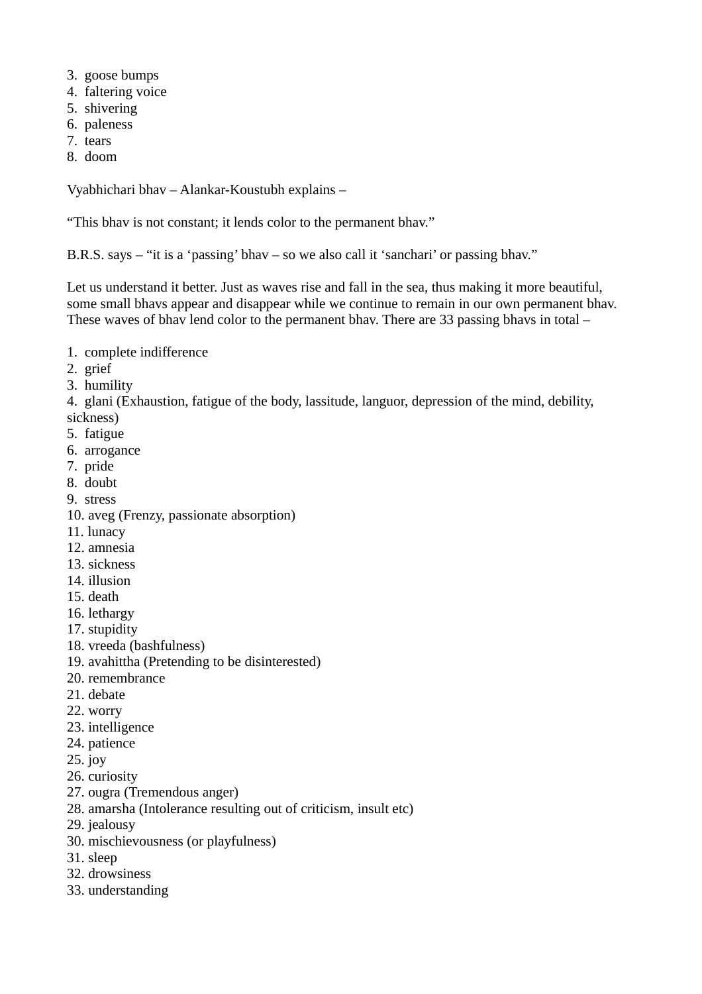- 3. goose bumps
- 4. faltering voice
- 5. shivering
- 6. paleness
- 7. tears
- 8. doom

Vyabhichari bhav – Alankar-Koustubh explains –

"This bhav is not constant; it lends color to the permanent bhav."

B.R.S. says – "it is a 'passing' bhav – so we also call it 'sanchari' or passing bhav."

Let us understand it better. Just as waves rise and fall in the sea, thus making it more beautiful, some small bhavs appear and disappear while we continue to remain in our own permanent bhav. These waves of bhav lend color to the permanent bhav. There are 33 passing bhavs in total –

- 1. complete indifference
- 2. grief
- 3. humility

4. glani (Exhaustion, fatigue of the body, lassitude, languor, depression of the mind, debility, sickness)

- 5. fatigue
- 6. arrogance
- 7. pride
- 8. doubt
- 9. stress
- 10. aveg (Frenzy, passionate absorption)
- 11. lunacy
- 12. amnesia
- 13. sickness
- 14. illusion
- 15. death
- 16. lethargy
- 17. stupidity
- 18. vreeda (bashfulness)
- 19. avahittha (Pretending to be disinterested)
- 20. remembrance
- 21. debate
- 22. worry
- 23. intelligence
- 24. patience
- 25. joy
- 26. curiosity
- 27. ougra (Tremendous anger)
- 28. amarsha (Intolerance resulting out of criticism, insult etc)
- 29. jealousy
- 30. mischievousness (or playfulness)
- 31. sleep
- 32. drowsiness
- 33. understanding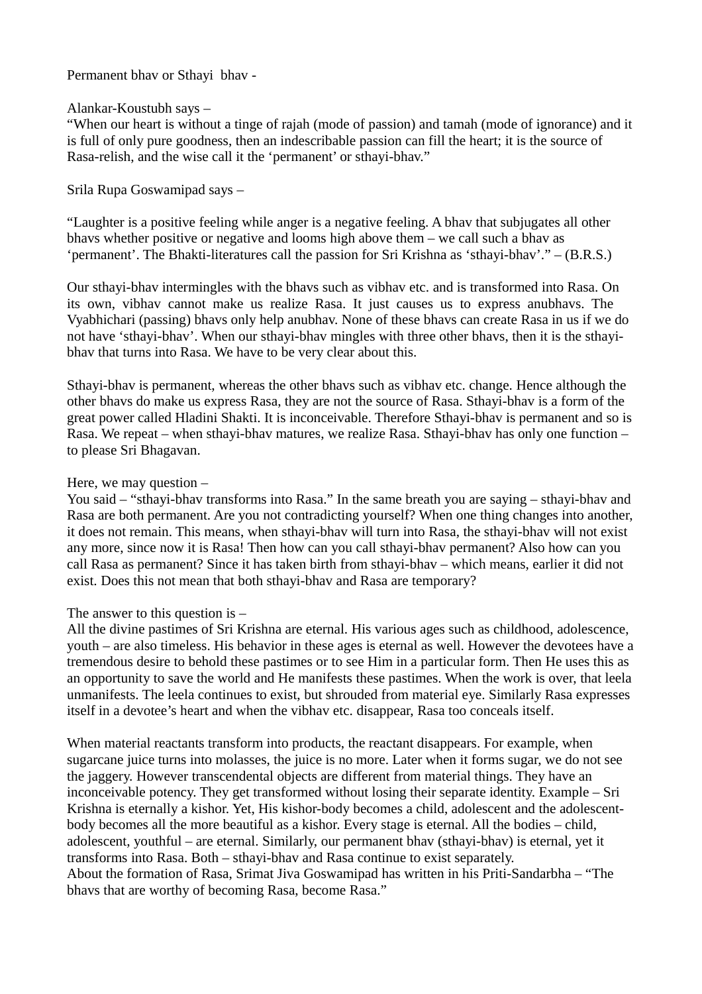Permanent bhav or Sthayi bhav -

### Alankar-Koustubh says –

"When our heart is without a tinge of rajah (mode of passion) and tamah (mode of ignorance) and it is full of only pure goodness, then an indescribable passion can fill the heart; it is the source of Rasa-relish, and the wise call it the 'permanent' or sthayi-bhav."

Srila Rupa Goswamipad says –

"Laughter is a positive feeling while anger is a negative feeling. A bhav that subjugates all other bhavs whether positive or negative and looms high above them – we call such a bhav as 'permanent'. The Bhakti-literatures call the passion for Sri Krishna as 'sthayi-bhav'." – (B.R.S.)

Our sthayi-bhav intermingles with the bhavs such as vibhav etc. and is transformed into Rasa. On its own, vibhav cannot make us realize Rasa. It just causes us to express anubhavs. The Vyabhichari (passing) bhavs only help anubhav. None of these bhavs can create Rasa in us if we do not have 'sthayi-bhav'. When our sthayi-bhav mingles with three other bhavs, then it is the sthayibhav that turns into Rasa. We have to be very clear about this.

Sthayi-bhav is permanent, whereas the other bhavs such as vibhav etc. change. Hence although the other bhavs do make us express Rasa, they are not the source of Rasa. Sthayi-bhav is a form of the great power called Hladini Shakti. It is inconceivable. Therefore Sthayi-bhav is permanent and so is Rasa. We repeat – when sthayi-bhav matures, we realize Rasa. Sthayi-bhav has only one function – to please Sri Bhagavan.

#### Here, we may question –

You said – "sthayi-bhav transforms into Rasa." In the same breath you are saying – sthayi-bhav and Rasa are both permanent. Are you not contradicting yourself? When one thing changes into another, it does not remain. This means, when sthayi-bhav will turn into Rasa, the sthayi-bhav will not exist any more, since now it is Rasa! Then how can you call sthayi-bhav permanent? Also how can you call Rasa as permanent? Since it has taken birth from sthayi-bhav – which means, earlier it did not exist. Does this not mean that both sthayi-bhav and Rasa are temporary?

#### The answer to this question is  $-$

All the divine pastimes of Sri Krishna are eternal. His various ages such as childhood, adolescence, youth – are also timeless. His behavior in these ages is eternal as well. However the devotees have a tremendous desire to behold these pastimes or to see Him in a particular form. Then He uses this as an opportunity to save the world and He manifests these pastimes. When the work is over, that leela unmanifests. The leela continues to exist, but shrouded from material eye. Similarly Rasa expresses itself in a devotee's heart and when the vibhav etc. disappear, Rasa too conceals itself.

When material reactants transform into products, the reactant disappears. For example, when sugarcane juice turns into molasses, the juice is no more. Later when it forms sugar, we do not see the jaggery. However transcendental objects are different from material things. They have an inconceivable potency. They get transformed without losing their separate identity. Example – Sri Krishna is eternally a kishor. Yet, His kishor-body becomes a child, adolescent and the adolescentbody becomes all the more beautiful as a kishor. Every stage is eternal. All the bodies – child, adolescent, youthful – are eternal. Similarly, our permanent bhav (sthayi-bhav) is eternal, yet it transforms into Rasa. Both – sthayi-bhav and Rasa continue to exist separately. About the formation of Rasa, Srimat Jiva Goswamipad has written in his Priti-Sandarbha – "The bhavs that are worthy of becoming Rasa, become Rasa."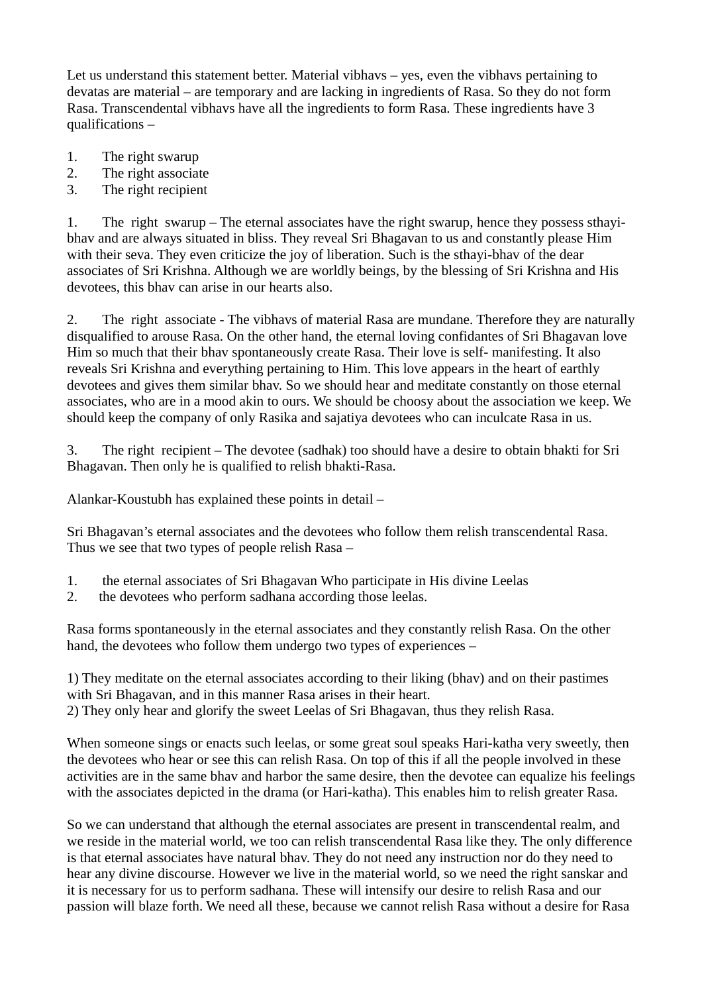Let us understand this statement better. Material vibhavs – yes, even the vibhavs pertaining to devatas are material – are temporary and are lacking in ingredients of Rasa. So they do not form Rasa. Transcendental vibhavs have all the ingredients to form Rasa. These ingredients have 3 qualifications –

- 1. The right swarup
- 2. The right associate
- 3. The right recipient

1. The right swarup – The eternal associates have the right swarup, hence they possess sthayibhav and are always situated in bliss. They reveal Sri Bhagavan to us and constantly please Him with their seva. They even criticize the joy of liberation. Such is the sthayi-bhav of the dear associates of Sri Krishna. Although we are worldly beings, by the blessing of Sri Krishna and His devotees, this bhav can arise in our hearts also.

2. The right associate - The vibhavs of material Rasa are mundane. Therefore they are naturally disqualified to arouse Rasa. On the other hand, the eternal loving confidantes of Sri Bhagavan love Him so much that their bhav spontaneously create Rasa. Their love is self- manifesting. It also reveals Sri Krishna and everything pertaining to Him. This love appears in the heart of earthly devotees and gives them similar bhav. So we should hear and meditate constantly on those eternal associates, who are in a mood akin to ours. We should be choosy about the association we keep. We should keep the company of only Rasika and sajatiya devotees who can inculcate Rasa in us.

3. The right recipient – The devotee (sadhak) too should have a desire to obtain bhakti for Sri Bhagavan. Then only he is qualified to relish bhakti-Rasa.

Alankar-Koustubh has explained these points in detail –

Sri Bhagavan's eternal associates and the devotees who follow them relish transcendental Rasa. Thus we see that two types of people relish Rasa –

- 1. the eternal associates of Sri Bhagavan Who participate in His divine Leelas
- 2. the devotees who perform sadhana according those leelas.

Rasa forms spontaneously in the eternal associates and they constantly relish Rasa. On the other hand, the devotees who follow them undergo two types of experiences –

1) They meditate on the eternal associates according to their liking (bhav) and on their pastimes with Sri Bhagavan, and in this manner Rasa arises in their heart. 2) They only hear and glorify the sweet Leelas of Sri Bhagavan, thus they relish Rasa.

When someone sings or enacts such leelas, or some great soul speaks Hari-katha very sweetly, then the devotees who hear or see this can relish Rasa. On top of this if all the people involved in these activities are in the same bhav and harbor the same desire, then the devotee can equalize his feelings with the associates depicted in the drama (or Hari-katha). This enables him to relish greater Rasa.

So we can understand that although the eternal associates are present in transcendental realm, and we reside in the material world, we too can relish transcendental Rasa like they. The only difference is that eternal associates have natural bhav. They do not need any instruction nor do they need to hear any divine discourse. However we live in the material world, so we need the right sanskar and it is necessary for us to perform sadhana. These will intensify our desire to relish Rasa and our passion will blaze forth. We need all these, because we cannot relish Rasa without a desire for Rasa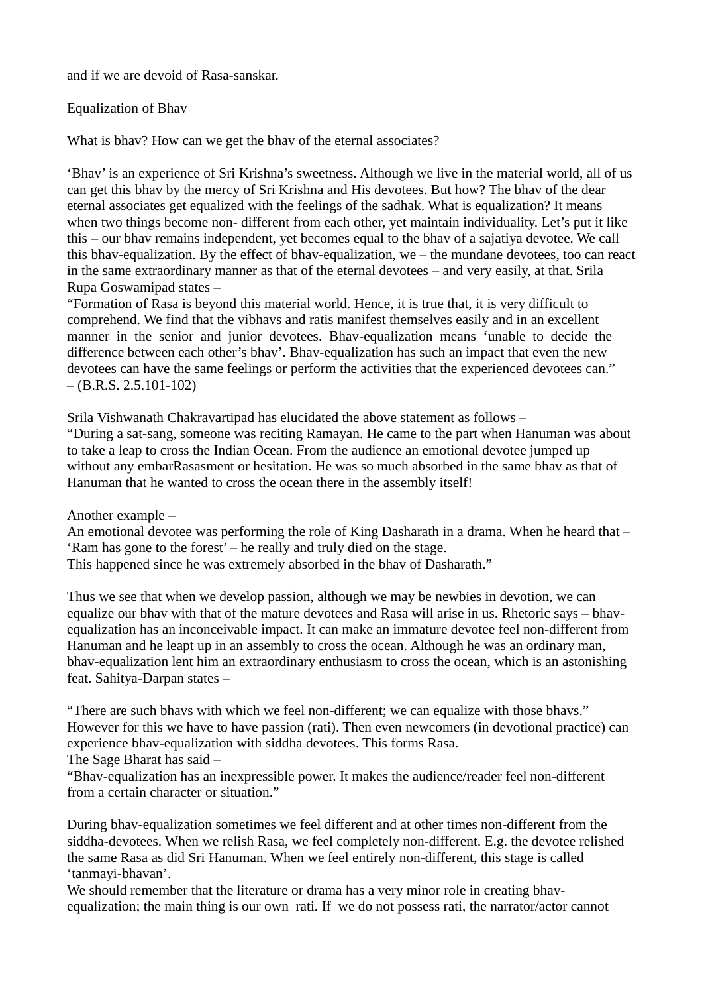and if we are devoid of Rasa-sanskar.

Equalization of Bhav

What is bhav? How can we get the bhav of the eternal associates?

'Bhav' is an experience of Sri Krishna's sweetness. Although we live in the material world, all of us can get this bhav by the mercy of Sri Krishna and His devotees. But how? The bhav of the dear eternal associates get equalized with the feelings of the sadhak. What is equalization? It means when two things become non- different from each other, yet maintain individuality. Let's put it like this – our bhav remains independent, yet becomes equal to the bhav of a sajatiya devotee. We call this bhav-equalization. By the effect of bhav-equalization, we – the mundane devotees, too can react in the same extraordinary manner as that of the eternal devotees – and very easily, at that. Srila Rupa Goswamipad states –

"Formation of Rasa is beyond this material world. Hence, it is true that, it is very difficult to comprehend. We find that the vibhavs and ratis manifest themselves easily and in an excellent manner in the senior and junior devotees. Bhav-equalization means 'unable to decide the difference between each other's bhav'. Bhav-equalization has such an impact that even the new devotees can have the same feelings or perform the activities that the experienced devotees can."  $-(B.R.S. 2.5.101-102)$ 

Srila Vishwanath Chakravartipad has elucidated the above statement as follows – "During a sat-sang, someone was reciting Ramayan. He came to the part when Hanuman was about to take a leap to cross the Indian Ocean. From the audience an emotional devotee jumped up without any embarRasasment or hesitation. He was so much absorbed in the same bhav as that of Hanuman that he wanted to cross the ocean there in the assembly itself!

Another example –

An emotional devotee was performing the role of King Dasharath in a drama. When he heard that – 'Ram has gone to the forest' – he really and truly died on the stage.

This happened since he was extremely absorbed in the bhav of Dasharath."

Thus we see that when we develop passion, although we may be newbies in devotion, we can equalize our bhav with that of the mature devotees and Rasa will arise in us. Rhetoric says – bhavequalization has an inconceivable impact. It can make an immature devotee feel non-different from Hanuman and he leapt up in an assembly to cross the ocean. Although he was an ordinary man, bhav-equalization lent him an extraordinary enthusiasm to cross the ocean, which is an astonishing feat. Sahitya-Darpan states –

"There are such bhavs with which we feel non-different; we can equalize with those bhavs." However for this we have to have passion (rati). Then even newcomers (in devotional practice) can experience bhav-equalization with siddha devotees. This forms Rasa.

The Sage Bharat has said –

"Bhav-equalization has an inexpressible power. It makes the audience/reader feel non-different from a certain character or situation."

During bhav-equalization sometimes we feel different and at other times non-different from the siddha-devotees. When we relish Rasa, we feel completely non-different. E.g. the devotee relished the same Rasa as did Sri Hanuman. When we feel entirely non-different, this stage is called 'tanmayi-bhavan'.

We should remember that the literature or drama has a very minor role in creating bhavequalization; the main thing is our own rati. If we do not possess rati, the narrator/actor cannot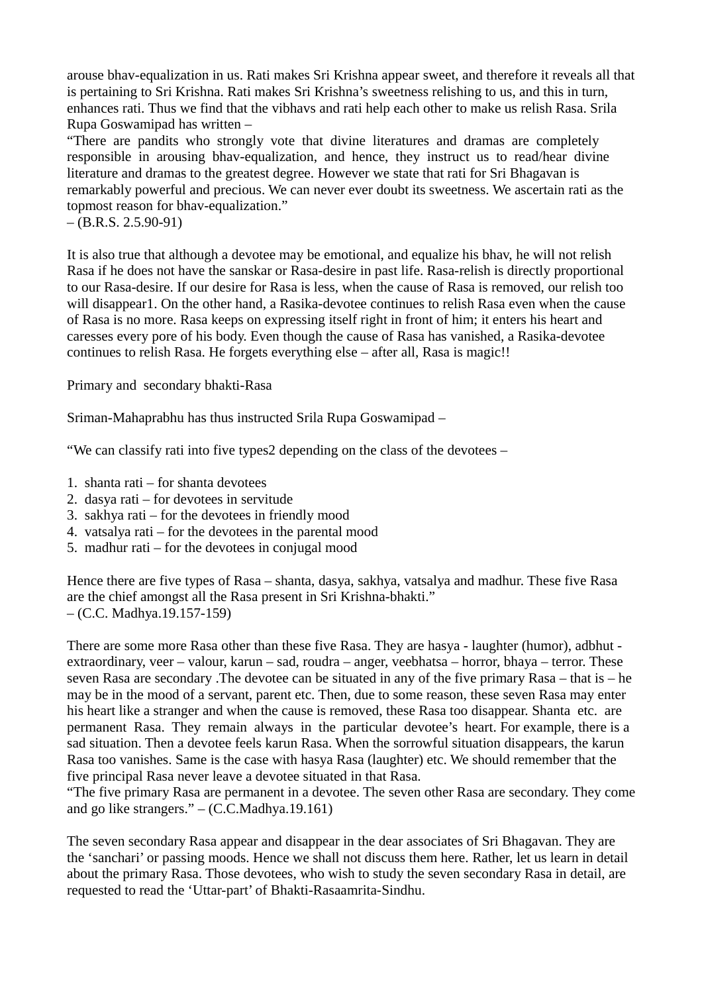arouse bhav-equalization in us. Rati makes Sri Krishna appear sweet, and therefore it reveals all that is pertaining to Sri Krishna. Rati makes Sri Krishna's sweetness relishing to us, and this in turn, enhances rati. Thus we find that the vibhavs and rati help each other to make us relish Rasa. Srila Rupa Goswamipad has written –

"There are pandits who strongly vote that divine literatures and dramas are completely responsible in arousing bhav-equalization, and hence, they instruct us to read/hear divine literature and dramas to the greatest degree. However we state that rati for Sri Bhagavan is remarkably powerful and precious. We can never ever doubt its sweetness. We ascertain rati as the topmost reason for bhav-equalization."

 $-$  (B.R.S. 2.5.90-91)

It is also true that although a devotee may be emotional, and equalize his bhav, he will not relish Rasa if he does not have the sanskar or Rasa-desire in past life. Rasa-relish is directly proportional to our Rasa-desire. If our desire for Rasa is less, when the cause of Rasa is removed, our relish too will disappear1. On the other hand, a Rasika-devotee continues to relish Rasa even when the cause of Rasa is no more. Rasa keeps on expressing itself right in front of him; it enters his heart and caresses every pore of his body. Even though the cause of Rasa has vanished, a Rasika-devotee continues to relish Rasa. He forgets everything else – after all, Rasa is magic!!

Primary and secondary bhakti-Rasa

Sriman-Mahaprabhu has thus instructed Srila Rupa Goswamipad –

"We can classify rati into five types2 depending on the class of the devotees –

- 1. shanta rati for shanta devotees
- 2. dasya rati for devotees in servitude
- 3. sakhya rati for the devotees in friendly mood
- 4. vatsalya rati for the devotees in the parental mood
- 5. madhur rati for the devotees in conjugal mood

Hence there are five types of Rasa – shanta, dasya, sakhya, vatsalya and madhur. These five Rasa are the chief amongst all the Rasa present in Sri Krishna-bhakti." – (C.C. Madhya.19.157-159)

There are some more Rasa other than these five Rasa. They are hasya - laughter (humor), adbhut extraordinary, veer – valour, karun – sad, roudra – anger, veebhatsa – horror, bhaya – terror. These seven Rasa are secondary .The devotee can be situated in any of the five primary Rasa – that is – he may be in the mood of a servant, parent etc. Then, due to some reason, these seven Rasa may enter his heart like a stranger and when the cause is removed, these Rasa too disappear. Shanta etc. are permanent Rasa. They remain always in the particular devotee's heart. For example, there is a sad situation. Then a devotee feels karun Rasa. When the sorrowful situation disappears, the karun Rasa too vanishes. Same is the case with hasya Rasa (laughter) etc. We should remember that the five principal Rasa never leave a devotee situated in that Rasa.

"The five primary Rasa are permanent in a devotee. The seven other Rasa are secondary. They come and go like strangers."  $-$  (C.C.Madhya.19.161)

The seven secondary Rasa appear and disappear in the dear associates of Sri Bhagavan. They are the 'sanchari' or passing moods. Hence we shall not discuss them here. Rather, let us learn in detail about the primary Rasa. Those devotees, who wish to study the seven secondary Rasa in detail, are requested to read the 'Uttar-part' of Bhakti-Rasaamrita-Sindhu.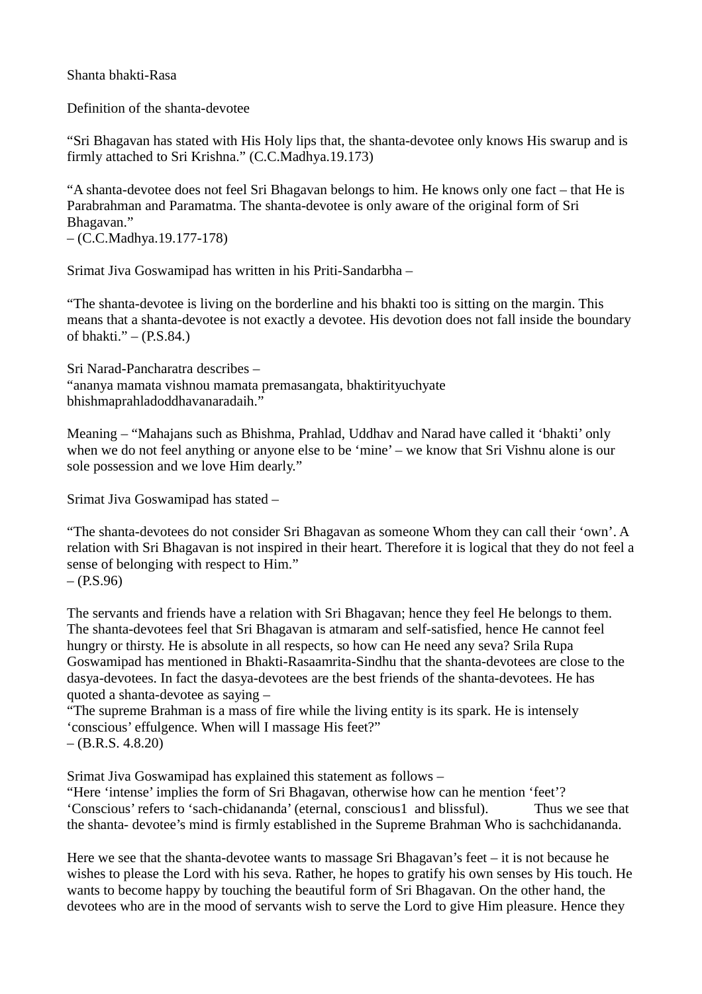Shanta bhakti-Rasa

Definition of the shanta-devotee

"Sri Bhagavan has stated with His Holy lips that, the shanta-devotee only knows His swarup and is firmly attached to Sri Krishna." (C.C.Madhya.19.173)

"A shanta-devotee does not feel Sri Bhagavan belongs to him. He knows only one fact – that He is Parabrahman and Paramatma. The shanta-devotee is only aware of the original form of Sri Bhagavan."

– (C.C.Madhya.19.177-178)

Srimat Jiva Goswamipad has written in his Priti-Sandarbha –

"The shanta-devotee is living on the borderline and his bhakti too is sitting on the margin. This means that a shanta-devotee is not exactly a devotee. His devotion does not fall inside the boundary of bhakti."  $-$  (P.S.84.)

Sri Narad-Pancharatra describes – "ananya mamata vishnou mamata premasangata, bhaktirityuchyate bhishmaprahladoddhavanaradaih."

Meaning – "Mahajans such as Bhishma, Prahlad, Uddhav and Narad have called it 'bhakti' only when we do not feel anything or anyone else to be 'mine' – we know that Sri Vishnu alone is our sole possession and we love Him dearly."

Srimat Jiva Goswamipad has stated –

"The shanta-devotees do not consider Sri Bhagavan as someone Whom they can call their 'own'. A relation with Sri Bhagavan is not inspired in their heart. Therefore it is logical that they do not feel a sense of belonging with respect to Him."  $-$  (P.S.96)

The servants and friends have a relation with Sri Bhagavan; hence they feel He belongs to them. The shanta-devotees feel that Sri Bhagavan is atmaram and self-satisfied, hence He cannot feel hungry or thirsty. He is absolute in all respects, so how can He need any seva? Srila Rupa Goswamipad has mentioned in Bhakti-Rasaamrita-Sindhu that the shanta-devotees are close to the dasya-devotees. In fact the dasya-devotees are the best friends of the shanta-devotees. He has quoted a shanta-devotee as saying –

"The supreme Brahman is a mass of fire while the living entity is its spark. He is intensely 'conscious' effulgence. When will I massage His feet?"

 $-$  (B.R.S. 4.8.20)

Srimat Jiva Goswamipad has explained this statement as follows –

"Here 'intense' implies the form of Sri Bhagavan, otherwise how can he mention 'feet'? 'Conscious' refers to 'sach-chidananda' (eternal, conscious1 and blissful). Thus we see that the shanta- devotee's mind is firmly established in the Supreme Brahman Who is sachchidananda.

Here we see that the shanta-devotee wants to massage Sri Bhagavan's feet  $-$  it is not because he wishes to please the Lord with his seva. Rather, he hopes to gratify his own senses by His touch. He wants to become happy by touching the beautiful form of Sri Bhagavan. On the other hand, the devotees who are in the mood of servants wish to serve the Lord to give Him pleasure. Hence they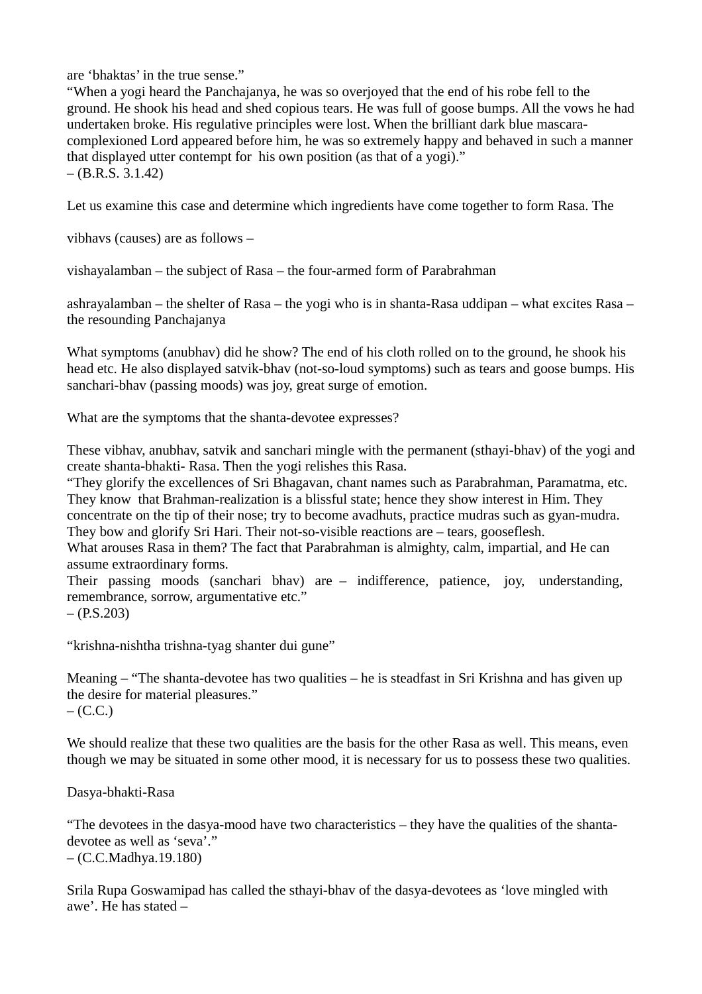are 'bhaktas' in the true sense."

"When a yogi heard the Panchajanya, he was so overjoyed that the end of his robe fell to the ground. He shook his head and shed copious tears. He was full of goose bumps. All the vows he had undertaken broke. His regulative principles were lost. When the brilliant dark blue mascaracomplexioned Lord appeared before him, he was so extremely happy and behaved in such a manner that displayed utter contempt for his own position (as that of a yogi)."  $-$  (B.R.S. 3.1.42)

Let us examine this case and determine which ingredients have come together to form Rasa. The

vibhavs (causes) are as follows –

vishayalamban – the subject of Rasa – the four-armed form of Parabrahman

ashrayalamban – the shelter of Rasa – the yogi who is in shanta-Rasa uddipan – what excites Rasa – the resounding Panchajanya

What symptoms (anubhav) did he show? The end of his cloth rolled on to the ground, he shook his head etc. He also displayed satvik-bhav (not-so-loud symptoms) such as tears and goose bumps. His sanchari-bhav (passing moods) was joy, great surge of emotion.

What are the symptoms that the shanta-devotee expresses?

These vibhav, anubhav, satvik and sanchari mingle with the permanent (sthayi-bhav) of the yogi and create shanta-bhakti- Rasa. Then the yogi relishes this Rasa.

"They glorify the excellences of Sri Bhagavan, chant names such as Parabrahman, Paramatma, etc. They know that Brahman-realization is a blissful state; hence they show interest in Him. They concentrate on the tip of their nose; try to become avadhuts, practice mudras such as gyan-mudra. They bow and glorify Sri Hari. Their not-so-visible reactions are – tears, gooseflesh.

What arouses Rasa in them? The fact that Parabrahman is almighty, calm, impartial, and He can assume extraordinary forms.

Their passing moods (sanchari bhav) are – indifference, patience, joy, understanding, remembrance, sorrow, argumentative etc."  $- (P.S.203)$ 

"krishna-nishtha trishna-tyag shanter dui gune"

Meaning – "The shanta-devotee has two qualities – he is steadfast in Sri Krishna and has given up the desire for material pleasures."  $-$  (C.C.)

We should realize that these two qualities are the basis for the other Rasa as well. This means, even though we may be situated in some other mood, it is necessary for us to possess these two qualities.

Dasya-bhakti-Rasa

"The devotees in the dasya-mood have two characteristics – they have the qualities of the shantadevotee as well as 'seva'." – (C.C.Madhya.19.180)

Srila Rupa Goswamipad has called the sthayi-bhav of the dasya-devotees as 'love mingled with awe'. He has stated –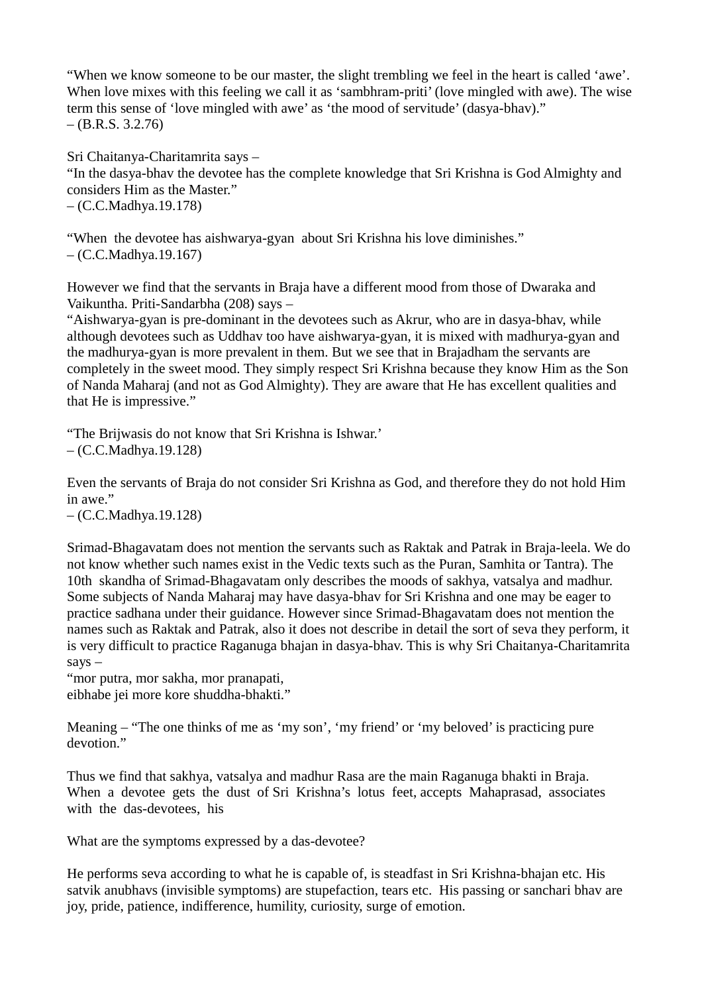"When we know someone to be our master, the slight trembling we feel in the heart is called 'awe'. When love mixes with this feeling we call it as 'sambhram-priti' (love mingled with awe). The wise term this sense of 'love mingled with awe' as 'the mood of servitude' (dasya-bhav)."  $-$  (B.R.S. 3.2.76)

Sri Chaitanya-Charitamrita says – "In the dasya-bhav the devotee has the complete knowledge that Sri Krishna is God Almighty and considers Him as the Master."

– (C.C.Madhya.19.178)

"When the devotee has aishwarya-gyan about Sri Krishna his love diminishes."  $-$  (C.C.Madhya.19.167)

However we find that the servants in Braja have a different mood from those of Dwaraka and Vaikuntha. Priti-Sandarbha (208) says –

"Aishwarya-gyan is pre-dominant in the devotees such as Akrur, who are in dasya-bhav, while although devotees such as Uddhav too have aishwarya-gyan, it is mixed with madhurya-gyan and the madhurya-gyan is more prevalent in them. But we see that in Brajadham the servants are completely in the sweet mood. They simply respect Sri Krishna because they know Him as the Son of Nanda Maharaj (and not as God Almighty). They are aware that He has excellent qualities and that He is impressive."

"The Brijwasis do not know that Sri Krishna is Ishwar.' – (C.C.Madhya.19.128)

Even the servants of Braja do not consider Sri Krishna as God, and therefore they do not hold Him in awe."

– (C.C.Madhya.19.128)

Srimad-Bhagavatam does not mention the servants such as Raktak and Patrak in Braja-leela. We do not know whether such names exist in the Vedic texts such as the Puran, Samhita or Tantra). The 10th skandha of Srimad-Bhagavatam only describes the moods of sakhya, vatsalya and madhur. Some subjects of Nanda Maharaj may have dasya-bhav for Sri Krishna and one may be eager to practice sadhana under their guidance. However since Srimad-Bhagavatam does not mention the names such as Raktak and Patrak, also it does not describe in detail the sort of seva they perform, it is very difficult to practice Raganuga bhajan in dasya-bhav. This is why Sri Chaitanya-Charitamrita says –

"mor putra, mor sakha, mor pranapati, eibhabe jei more kore shuddha-bhakti."

Meaning – "The one thinks of me as 'my son', 'my friend' or 'my beloved' is practicing pure devotion."

Thus we find that sakhya, vatsalya and madhur Rasa are the main Raganuga bhakti in Braja. When a devotee gets the dust of Sri Krishna's lotus feet, accepts Mahaprasad, associates with the das-devotees, his

What are the symptoms expressed by a das-devotee?

He performs seva according to what he is capable of, is steadfast in Sri Krishna-bhajan etc. His satvik anubhavs (invisible symptoms) are stupefaction, tears etc. His passing or sanchari bhav are joy, pride, patience, indifference, humility, curiosity, surge of emotion.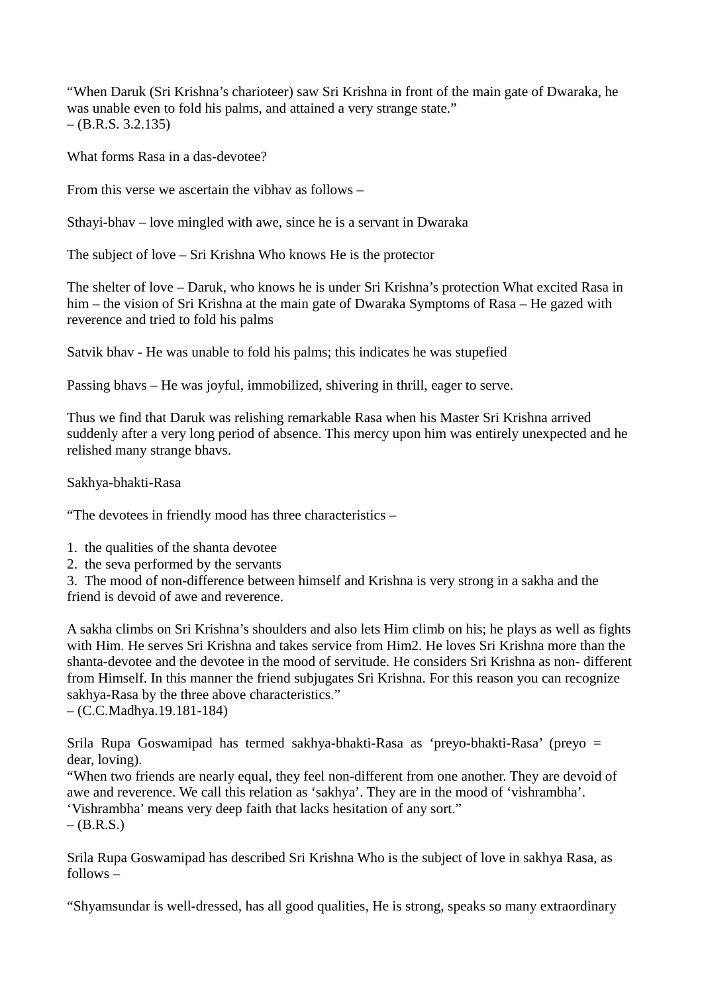"When Daruk (Sri Krishna's charioteer) saw Sri Krishna in front of the main gate of Dwaraka, he was unable even to fold his palms, and attained a very strange state."  $-$  (B.R.S. 3.2.135)

What forms Rasa in a das-devotee?

From this verse we ascertain the vibhav as follows –

Sthayi-bhav – love mingled with awe, since he is a servant in Dwaraka

The subject of love – Sri Krishna Who knows He is the protector

The shelter of love – Daruk, who knows he is under Sri Krishna's protection What excited Rasa in him – the vision of Sri Krishna at the main gate of Dwaraka Symptoms of Rasa – He gazed with reverence and tried to fold his palms

Satvik bhav - He was unable to fold his palms; this indicates he was stupefied

Passing bhavs – He was joyful, immobilized, shivering in thrill, eager to serve.

Thus we find that Daruk was relishing remarkable Rasa when his Master Sri Krishna arrived suddenly after a very long period of absence. This mercy upon him was entirely unexpected and he relished many strange bhavs.

Sakhya-bhakti-Rasa

"The devotees in friendly mood has three characteristics –

1. the qualities of the shanta devotee

2. the seva performed by the servants

3. The mood of non-difference between himself and Krishna is very strong in a sakha and the friend is devoid of awe and reverence.

A sakha climbs on Sri Krishna's shoulders and also lets Him climb on his; he plays as well as fights with Him. He serves Sri Krishna and takes service from Him2. He loves Sri Krishna more than the shanta-devotee and the devotee in the mood of servitude. He considers Sri Krishna as non- different from Himself. In this manner the friend subjugates Sri Krishna. For this reason you can recognize sakhya-Rasa by the three above characteristics."

– (C.C.Madhya.19.181-184)

Srila Rupa Goswamipad has termed sakhya-bhakti-Rasa as 'preyo-bhakti-Rasa' (preyo = dear, loving).

"When two friends are nearly equal, they feel non-different from one another. They are devoid of awe and reverence. We call this relation as 'sakhya'. They are in the mood of 'vishrambha'.

'Vishrambha' means very deep faith that lacks hesitation of any sort."

 $-(B.R.S.)$ 

Srila Rupa Goswamipad has described Sri Krishna Who is the subject of love in sakhya Rasa, as  $follows -$ 

"Shyamsundar is well-dressed, has all good qualities, He is strong, speaks so many extraordinary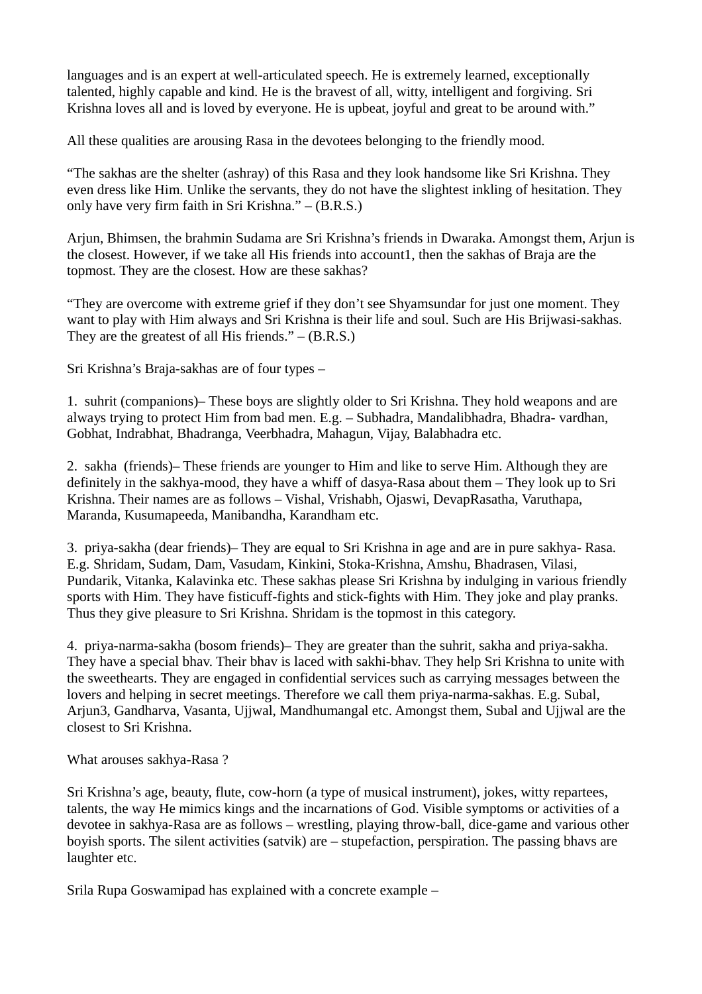languages and is an expert at well-articulated speech. He is extremely learned, exceptionally talented, highly capable and kind. He is the bravest of all, witty, intelligent and forgiving. Sri Krishna loves all and is loved by everyone. He is upbeat, joyful and great to be around with."

All these qualities are arousing Rasa in the devotees belonging to the friendly mood.

"The sakhas are the shelter (ashray) of this Rasa and they look handsome like Sri Krishna. They even dress like Him. Unlike the servants, they do not have the slightest inkling of hesitation. They only have very firm faith in Sri Krishna." – (B.R.S.)

Arjun, Bhimsen, the brahmin Sudama are Sri Krishna's friends in Dwaraka. Amongst them, Arjun is the closest. However, if we take all His friends into account1, then the sakhas of Braja are the topmost. They are the closest. How are these sakhas?

"They are overcome with extreme grief if they don't see Shyamsundar for just one moment. They want to play with Him always and Sri Krishna is their life and soul. Such are His Brijwasi-sakhas. They are the greatest of all His friends." – (B.R.S.)

Sri Krishna's Braja-sakhas are of four types –

1. suhrit (companions)– These boys are slightly older to Sri Krishna. They hold weapons and are always trying to protect Him from bad men. E.g. – Subhadra, Mandalibhadra, Bhadra- vardhan, Gobhat, Indrabhat, Bhadranga, Veerbhadra, Mahagun, Vijay, Balabhadra etc.

2. sakha (friends)– These friends are younger to Him and like to serve Him. Although they are definitely in the sakhya-mood, they have a whiff of dasya-Rasa about them – They look up to Sri Krishna. Their names are as follows – Vishal, Vrishabh, Ojaswi, DevapRasatha, Varuthapa, Maranda, Kusumapeeda, Manibandha, Karandham etc.

3. priya-sakha (dear friends)– They are equal to Sri Krishna in age and are in pure sakhya- Rasa. E.g. Shridam, Sudam, Dam, Vasudam, Kinkini, Stoka-Krishna, Amshu, Bhadrasen, Vilasi, Pundarik, Vitanka, Kalavinka etc. These sakhas please Sri Krishna by indulging in various friendly sports with Him. They have fisticuff-fights and stick-fights with Him. They joke and play pranks. Thus they give pleasure to Sri Krishna. Shridam is the topmost in this category.

4. priya-narma-sakha (bosom friends)– They are greater than the suhrit, sakha and priya-sakha. They have a special bhav. Their bhav is laced with sakhi-bhav. They help Sri Krishna to unite with the sweethearts. They are engaged in confidential services such as carrying messages between the lovers and helping in secret meetings. Therefore we call them priya-narma-sakhas. E.g. Subal, Arjun3, Gandharva, Vasanta, Ujjwal, Mandhumangal etc. Amongst them, Subal and Ujjwal are the closest to Sri Krishna.

What arouses sakhya-Rasa ?

Sri Krishna's age, beauty, flute, cow-horn (a type of musical instrument), jokes, witty repartees, talents, the way He mimics kings and the incarnations of God. Visible symptoms or activities of a devotee in sakhya-Rasa are as follows – wrestling, playing throw-ball, dice-game and various other boyish sports. The silent activities (satvik) are – stupefaction, perspiration. The passing bhavs are laughter etc.

Srila Rupa Goswamipad has explained with a concrete example –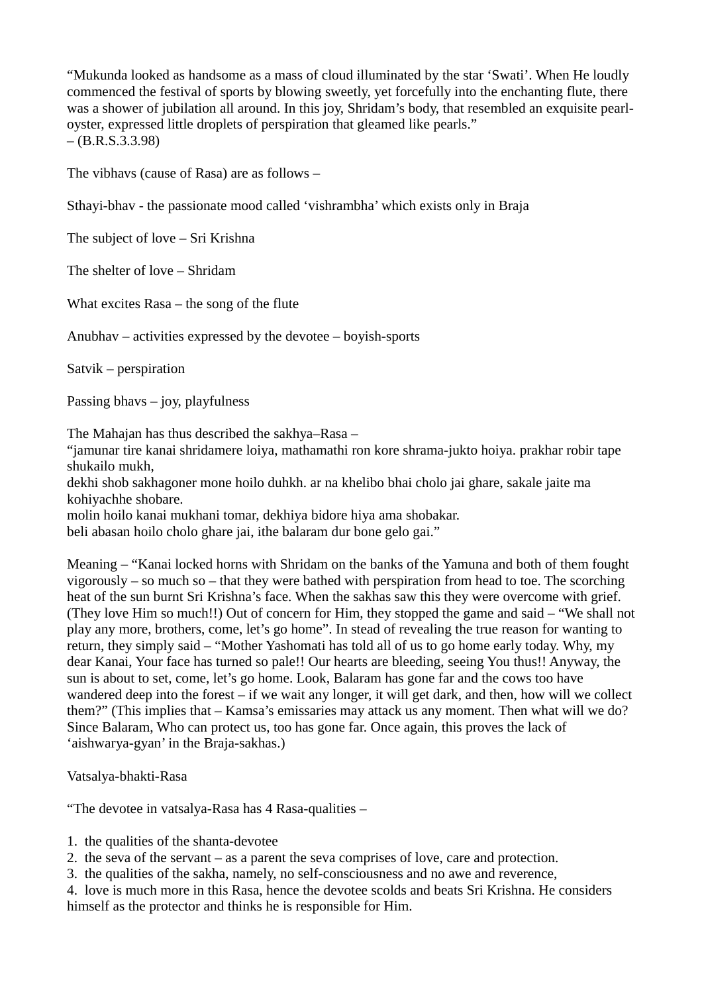"Mukunda looked as handsome as a mass of cloud illuminated by the star 'Swati'. When He loudly commenced the festival of sports by blowing sweetly, yet forcefully into the enchanting flute, there was a shower of jubilation all around. In this joy, Shridam's body, that resembled an exquisite pearloyster, expressed little droplets of perspiration that gleamed like pearls."  $-$  (B.R.S.3.3.98)

The vibhavs (cause of Rasa) are as follows –

Sthayi-bhav - the passionate mood called 'vishrambha' which exists only in Braja

The subject of love – Sri Krishna

The shelter of love – Shridam

What excites Rasa – the song of the flute

Anubhav – activities expressed by the devotee – boyish-sports

Satvik – perspiration

Passing bhavs – joy, playfulness

The Mahajan has thus described the sakhya–Rasa –

"jamunar tire kanai shridamere loiya, mathamathi ron kore shrama-jukto hoiya. prakhar robir tape shukailo mukh,

dekhi shob sakhagoner mone hoilo duhkh. ar na khelibo bhai cholo jai ghare, sakale jaite ma kohiyachhe shobare.

molin hoilo kanai mukhani tomar, dekhiya bidore hiya ama shobakar.

beli abasan hoilo cholo ghare jai, ithe balaram dur bone gelo gai."

Meaning – "Kanai locked horns with Shridam on the banks of the Yamuna and both of them fought vigorously – so much so – that they were bathed with perspiration from head to toe. The scorching heat of the sun burnt Sri Krishna's face. When the sakhas saw this they were overcome with grief. (They love Him so much!!) Out of concern for Him, they stopped the game and said – "We shall not play any more, brothers, come, let's go home". In stead of revealing the true reason for wanting to return, they simply said – "Mother Yashomati has told all of us to go home early today. Why, my dear Kanai, Your face has turned so pale!! Our hearts are bleeding, seeing You thus!! Anyway, the sun is about to set, come, let's go home. Look, Balaram has gone far and the cows too have wandered deep into the forest – if we wait any longer, it will get dark, and then, how will we collect them?" (This implies that – Kamsa's emissaries may attack us any moment. Then what will we do? Since Balaram, Who can protect us, too has gone far. Once again, this proves the lack of 'aishwarya-gyan' in the Braja-sakhas.)

Vatsalya-bhakti-Rasa

"The devotee in vatsalya-Rasa has 4 Rasa-qualities –

- 1. the qualities of the shanta-devotee
- 2. the seva of the servant as a parent the seva comprises of love, care and protection.
- 3. the qualities of the sakha, namely, no self-consciousness and no awe and reverence,
- 4. love is much more in this Rasa, hence the devotee scolds and beats Sri Krishna. He considers himself as the protector and thinks he is responsible for Him.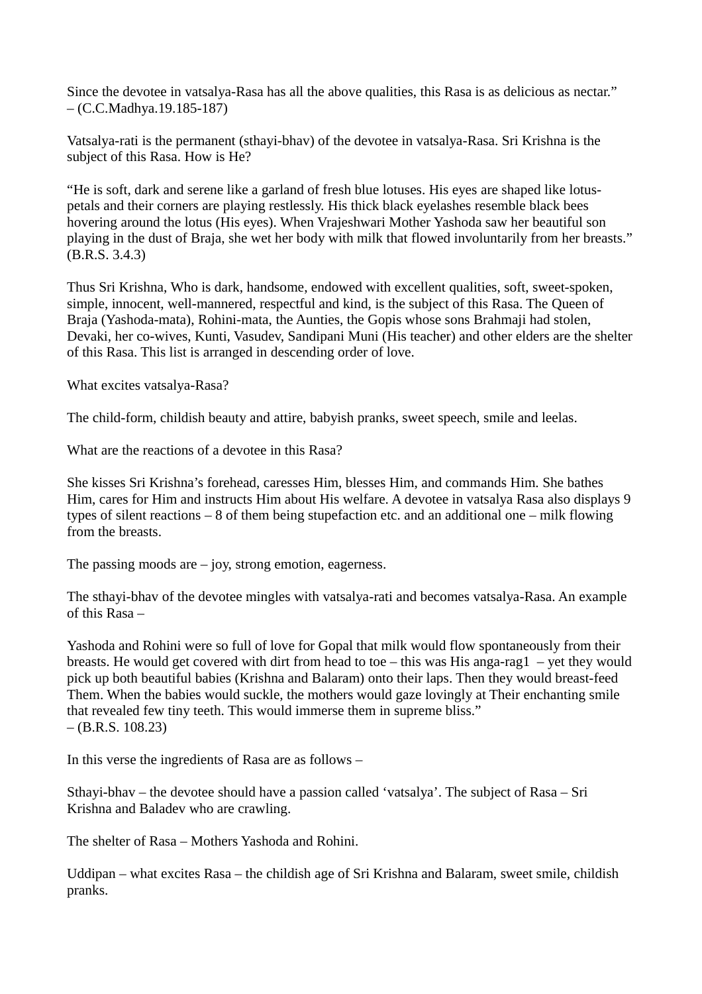Since the devotee in vatsalya-Rasa has all the above qualities, this Rasa is as delicious as nectar." – (C.C.Madhya.19.185-187)

Vatsalya-rati is the permanent (sthayi-bhav) of the devotee in vatsalya-Rasa. Sri Krishna is the subject of this Rasa. How is He?

"He is soft, dark and serene like a garland of fresh blue lotuses. His eyes are shaped like lotuspetals and their corners are playing restlessly. His thick black eyelashes resemble black bees hovering around the lotus (His eyes). When Vrajeshwari Mother Yashoda saw her beautiful son playing in the dust of Braja, she wet her body with milk that flowed involuntarily from her breasts." (B.R.S. 3.4.3)

Thus Sri Krishna, Who is dark, handsome, endowed with excellent qualities, soft, sweet-spoken, simple, innocent, well-mannered, respectful and kind, is the subject of this Rasa. The Queen of Braja (Yashoda-mata), Rohini-mata, the Aunties, the Gopis whose sons Brahmaji had stolen, Devaki, her co-wives, Kunti, Vasudev, Sandipani Muni (His teacher) and other elders are the shelter of this Rasa. This list is arranged in descending order of love.

What excites vatsalya-Rasa?

The child-form, childish beauty and attire, babyish pranks, sweet speech, smile and leelas.

What are the reactions of a devotee in this Rasa?

She kisses Sri Krishna's forehead, caresses Him, blesses Him, and commands Him. She bathes Him, cares for Him and instructs Him about His welfare. A devotee in vatsalya Rasa also displays 9 types of silent reactions – 8 of them being stupefaction etc. and an additional one – milk flowing from the breasts.

The passing moods are  $-$  joy, strong emotion, eagerness.

The sthayi-bhav of the devotee mingles with vatsalya-rati and becomes vatsalya-Rasa. An example of this Rasa –

Yashoda and Rohini were so full of love for Gopal that milk would flow spontaneously from their breasts. He would get covered with dirt from head to toe – this was His anga-rag1 – yet they would pick up both beautiful babies (Krishna and Balaram) onto their laps. Then they would breast-feed Them. When the babies would suckle, the mothers would gaze lovingly at Their enchanting smile that revealed few tiny teeth. This would immerse them in supreme bliss."  $-$  (B.R.S. 108.23)

In this verse the ingredients of Rasa are as follows –

Sthayi-bhav – the devotee should have a passion called 'vatsalya'. The subject of Rasa – Sri Krishna and Baladev who are crawling.

The shelter of Rasa – Mothers Yashoda and Rohini.

Uddipan – what excites Rasa – the childish age of Sri Krishna and Balaram, sweet smile, childish pranks.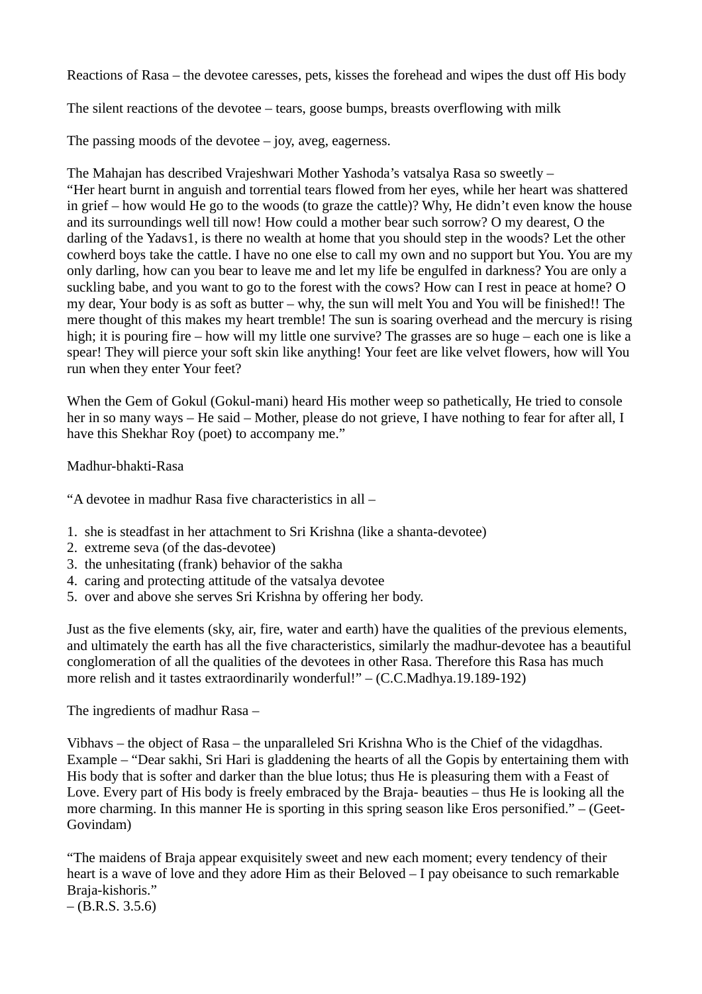Reactions of Rasa – the devotee caresses, pets, kisses the forehead and wipes the dust off His body

The silent reactions of the devotee – tears, goose bumps, breasts overflowing with milk

The passing moods of the devotee  $-$  joy, aveg, eagerness.

The Mahajan has described Vrajeshwari Mother Yashoda's vatsalya Rasa so sweetly – "Her heart burnt in anguish and torrential tears flowed from her eyes, while her heart was shattered in grief – how would He go to the woods (to graze the cattle)? Why, He didn't even know the house and its surroundings well till now! How could a mother bear such sorrow? O my dearest, O the darling of the Yadavs1, is there no wealth at home that you should step in the woods? Let the other cowherd boys take the cattle. I have no one else to call my own and no support but You. You are my only darling, how can you bear to leave me and let my life be engulfed in darkness? You are only a suckling babe, and you want to go to the forest with the cows? How can I rest in peace at home? O my dear, Your body is as soft as butter – why, the sun will melt You and You will be finished!! The mere thought of this makes my heart tremble! The sun is soaring overhead and the mercury is rising high; it is pouring fire – how will my little one survive? The grasses are so huge – each one is like a spear! They will pierce your soft skin like anything! Your feet are like velvet flowers, how will You run when they enter Your feet?

When the Gem of Gokul (Gokul-mani) heard His mother weep so pathetically, He tried to console her in so many ways – He said – Mother, please do not grieve, I have nothing to fear for after all, I have this Shekhar Roy (poet) to accompany me."

Madhur-bhakti-Rasa

"A devotee in madhur Rasa five characteristics in all –

- 1. she is steadfast in her attachment to Sri Krishna (like a shanta-devotee)
- 2. extreme seva (of the das-devotee)
- 3. the unhesitating (frank) behavior of the sakha
- 4. caring and protecting attitude of the vatsalya devotee
- 5. over and above she serves Sri Krishna by offering her body.

Just as the five elements (sky, air, fire, water and earth) have the qualities of the previous elements, and ultimately the earth has all the five characteristics, similarly the madhur-devotee has a beautiful conglomeration of all the qualities of the devotees in other Rasa. Therefore this Rasa has much more relish and it tastes extraordinarily wonderful!" – (C.C.Madhya.19.189-192)

The ingredients of madhur Rasa –

Vibhavs – the object of Rasa – the unparalleled Sri Krishna Who is the Chief of the vidagdhas. Example – "Dear sakhi, Sri Hari is gladdening the hearts of all the Gopis by entertaining them with His body that is softer and darker than the blue lotus; thus He is pleasuring them with a Feast of Love. Every part of His body is freely embraced by the Braja- beauties – thus He is looking all the more charming. In this manner He is sporting in this spring season like Eros personified." – (Geet-Govindam)

"The maidens of Braja appear exquisitely sweet and new each moment; every tendency of their heart is a wave of love and they adore Him as their Beloved – I pay obeisance to such remarkable Braja-kishoris."  $-$  (B.R.S. 3.5.6)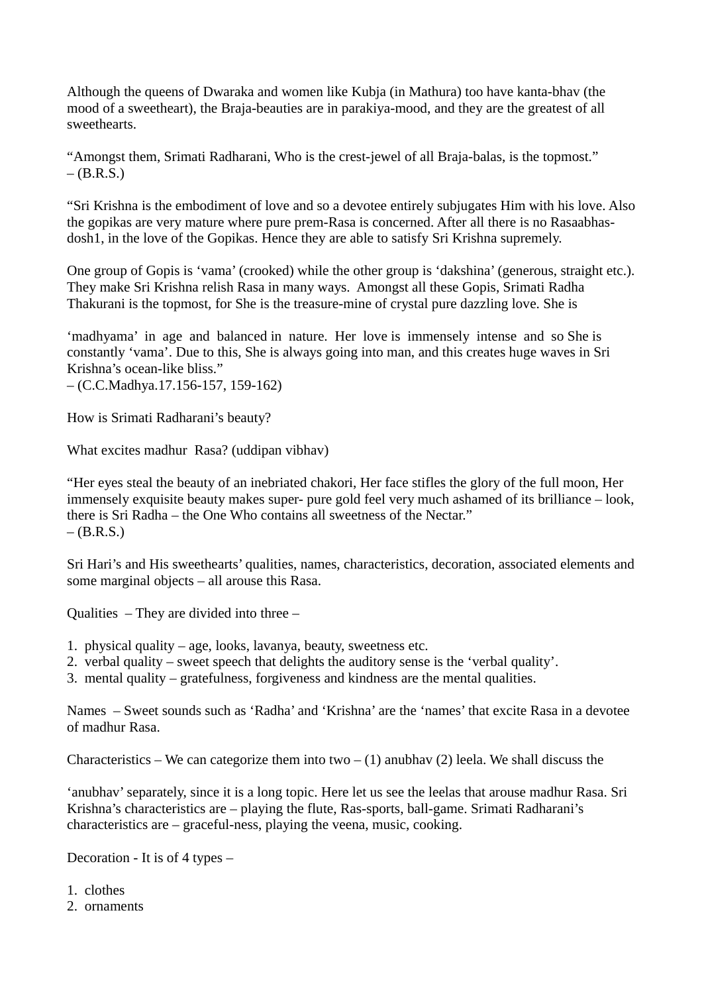Although the queens of Dwaraka and women like Kubja (in Mathura) too have kanta-bhav (the mood of a sweetheart), the Braja-beauties are in parakiya-mood, and they are the greatest of all sweethearts.

"Amongst them, Srimati Radharani, Who is the crest-jewel of all Braja-balas, is the topmost."  $-(B.R.S.)$ 

"Sri Krishna is the embodiment of love and so a devotee entirely subjugates Him with his love. Also the gopikas are very mature where pure prem-Rasa is concerned. After all there is no Rasaabhasdosh1, in the love of the Gopikas. Hence they are able to satisfy Sri Krishna supremely.

One group of Gopis is 'vama' (crooked) while the other group is 'dakshina' (generous, straight etc.). They make Sri Krishna relish Rasa in many ways. Amongst all these Gopis, Srimati Radha Thakurani is the topmost, for She is the treasure-mine of crystal pure dazzling love. She is

'madhyama' in age and balanced in nature. Her love is immensely intense and so She is constantly 'vama'. Due to this, She is always going into man, and this creates huge waves in Sri Krishna's ocean-like bliss."

– (C.C.Madhya.17.156-157, 159-162)

How is Srimati Radharani's beauty?

What excites madhur Rasa? (uddipan vibhav)

"Her eyes steal the beauty of an inebriated chakori, Her face stifles the glory of the full moon, Her immensely exquisite beauty makes super- pure gold feel very much ashamed of its brilliance – look, there is Sri Radha – the One Who contains all sweetness of the Nectar."  $-$  (B.R.S.)

Sri Hari's and His sweethearts' qualities, names, characteristics, decoration, associated elements and some marginal objects – all arouse this Rasa.

Qualities – They are divided into three –

- 1. physical quality age, looks, lavanya, beauty, sweetness etc.
- 2. verbal quality sweet speech that delights the auditory sense is the 'verbal quality'.
- 3. mental quality gratefulness, forgiveness and kindness are the mental qualities.

Names – Sweet sounds such as 'Radha' and 'Krishna' are the 'names' that excite Rasa in a devotee of madhur Rasa.

Characteristics – We can categorize them into two –  $(1)$  anubhav  $(2)$  leela. We shall discuss the

'anubhav' separately, since it is a long topic. Here let us see the leelas that arouse madhur Rasa. Sri Krishna's characteristics are – playing the flute, Ras-sports, ball-game. Srimati Radharani's characteristics are – graceful-ness, playing the veena, music, cooking.

Decoration - It is of 4 types –

1. clothes

2. ornaments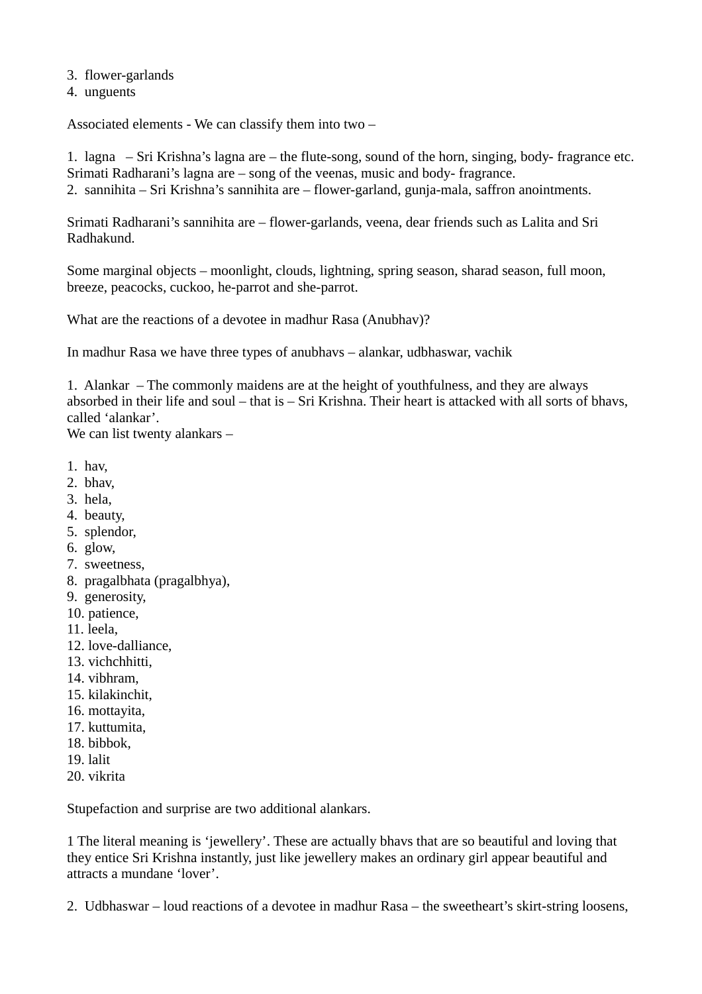3. flower-garlands

4. unguents

Associated elements - We can classify them into two –

1. lagna – Sri Krishna's lagna are – the flute-song, sound of the horn, singing, body- fragrance etc. Srimati Radharani's lagna are – song of the veenas, music and body- fragrance. 2. sannihita – Sri Krishna's sannihita are – flower-garland, gunja-mala, saffron anointments.

Srimati Radharani's sannihita are – flower-garlands, veena, dear friends such as Lalita and Sri Radhakund.

Some marginal objects – moonlight, clouds, lightning, spring season, sharad season, full moon, breeze, peacocks, cuckoo, he-parrot and she-parrot.

What are the reactions of a devotee in madhur Rasa (Anubhav)?

In madhur Rasa we have three types of anubhavs – alankar, udbhaswar, vachik

1. Alankar – The commonly maidens are at the height of youthfulness, and they are always absorbed in their life and soul – that is – Sri Krishna. Their heart is attacked with all sorts of bhavs, called 'alankar'.

We can list twenty alankars –

- 1. hav,
- 2. bhav,
- 3. hela,
- 4. beauty,
- 5. splendor,
- 6. glow,
- 7. sweetness,
- 8. pragalbhata (pragalbhya),
- 9. generosity,
- 10. patience,
- 11. leela,
- 12. love-dalliance,
- 13. vichchhitti,
- 14. vibhram,
- 15. kilakinchit,
- 16. mottayita,
- 17. kuttumita,
- 18. bibbok,
- 19. lalit
- 20. vikrita

Stupefaction and surprise are two additional alankars.

1 The literal meaning is 'jewellery'. These are actually bhavs that are so beautiful and loving that they entice Sri Krishna instantly, just like jewellery makes an ordinary girl appear beautiful and attracts a mundane 'lover'.

2. Udbhaswar – loud reactions of a devotee in madhur Rasa – the sweetheart's skirt-string loosens,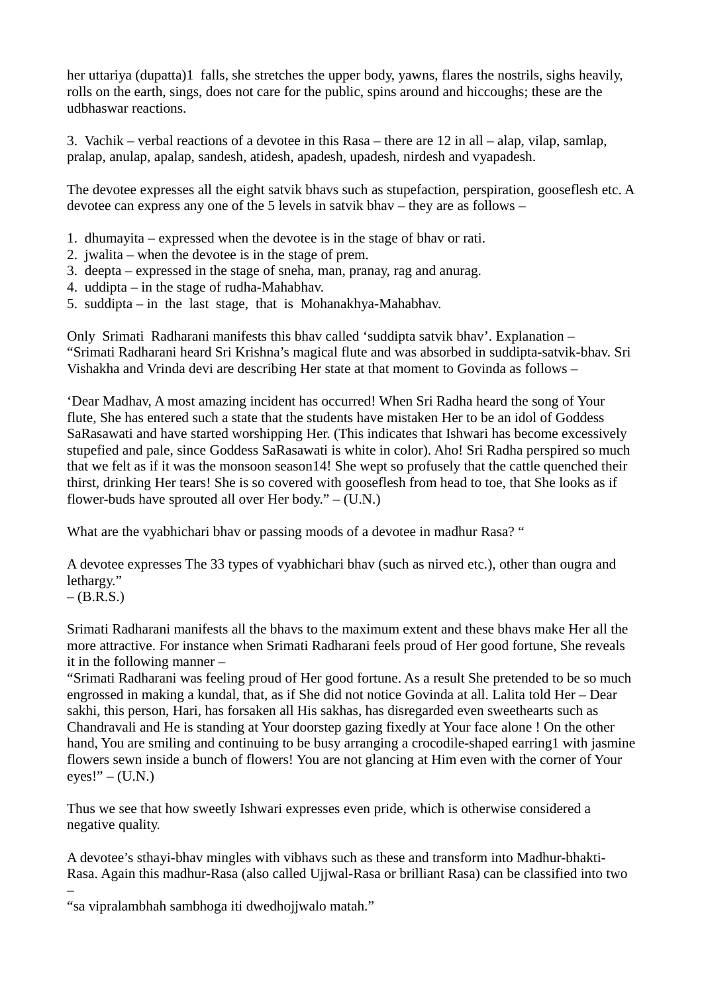her uttariya (dupatta)1 falls, she stretches the upper body, yawns, flares the nostrils, sighs heavily, rolls on the earth, sings, does not care for the public, spins around and hiccoughs; these are the udbhaswar reactions.

3. Vachik – verbal reactions of a devotee in this Rasa – there are 12 in all – alap, vilap, samlap, pralap, anulap, apalap, sandesh, atidesh, apadesh, upadesh, nirdesh and vyapadesh.

The devotee expresses all the eight satvik bhavs such as stupefaction, perspiration, gooseflesh etc. A devotee can express any one of the 5 levels in satvik bhav – they are as follows –

- 1. dhumayita expressed when the devotee is in the stage of bhav or rati.
- 2. jwalita when the devotee is in the stage of prem.
- 3. deepta expressed in the stage of sneha, man, pranay, rag and anurag.
- 4. uddipta in the stage of rudha-Mahabhav.
- 5. suddipta in the last stage, that is Mohanakhya-Mahabhav.

Only Srimati Radharani manifests this bhav called 'suddipta satvik bhav'. Explanation – "Srimati Radharani heard Sri Krishna's magical flute and was absorbed in suddipta-satvik-bhav. Sri Vishakha and Vrinda devi are describing Her state at that moment to Govinda as follows –

'Dear Madhav, A most amazing incident has occurred! When Sri Radha heard the song of Your flute, She has entered such a state that the students have mistaken Her to be an idol of Goddess SaRasawati and have started worshipping Her. (This indicates that Ishwari has become excessively stupefied and pale, since Goddess SaRasawati is white in color). Aho! Sri Radha perspired so much that we felt as if it was the monsoon season14! She wept so profusely that the cattle quenched their thirst, drinking Her tears! She is so covered with gooseflesh from head to toe, that She looks as if flower-buds have sprouted all over Her body."  $-$  (U.N.)

What are the vyabhichari bhav or passing moods of a devotee in madhur Rasa? "

A devotee expresses The 33 types of vyabhichari bhav (such as nirved etc.), other than ougra and lethargy."

 $-$  (B.R.S.)

–

Srimati Radharani manifests all the bhavs to the maximum extent and these bhavs make Her all the more attractive. For instance when Srimati Radharani feels proud of Her good fortune, She reveals it in the following manner –

"Srimati Radharani was feeling proud of Her good fortune. As a result She pretended to be so much engrossed in making a kundal, that, as if She did not notice Govinda at all. Lalita told Her – Dear sakhi, this person, Hari, has forsaken all His sakhas, has disregarded even sweethearts such as Chandravali and He is standing at Your doorstep gazing fixedly at Your face alone ! On the other hand, You are smiling and continuing to be busy arranging a crocodile-shaped earring1 with jasmine flowers sewn inside a bunch of flowers! You are not glancing at Him even with the corner of Your  $eyes!" - (U.N.)$ 

Thus we see that how sweetly Ishwari expresses even pride, which is otherwise considered a negative quality.

A devotee's sthayi-bhav mingles with vibhavs such as these and transform into Madhur-bhakti-Rasa. Again this madhur-Rasa (also called Ujjwal-Rasa or brilliant Rasa) can be classified into two

"sa vipralambhah sambhoga iti dwedhojjwalo matah."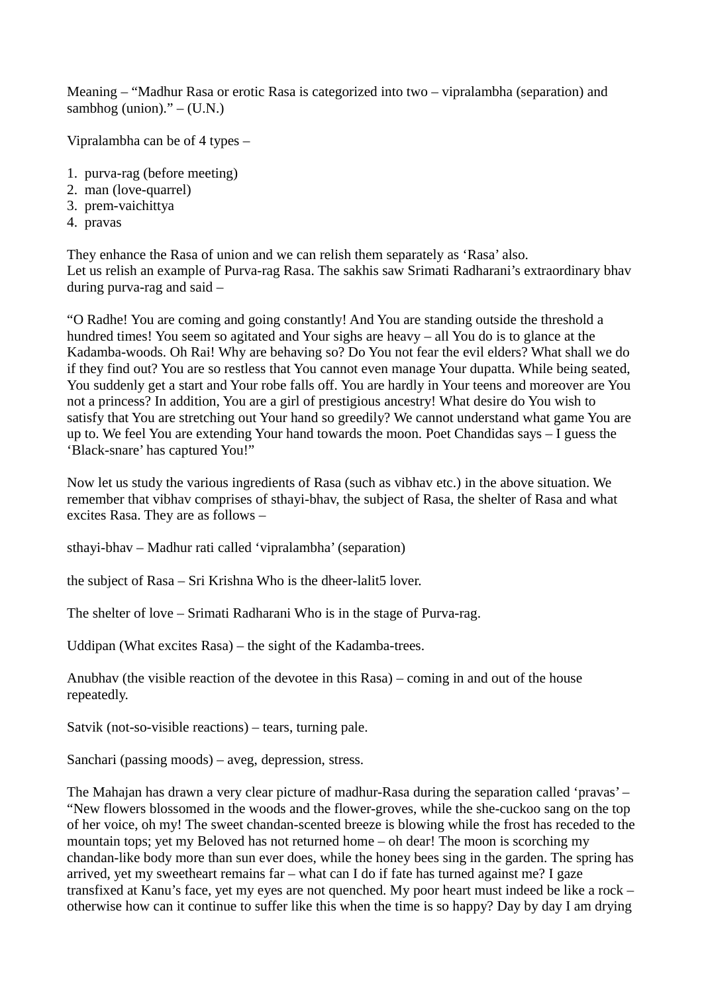Meaning – "Madhur Rasa or erotic Rasa is categorized into two – vipralambha (separation) and sambhog (union)."  $-$  (U.N.)

Vipralambha can be of 4 types –

- 1. purva-rag (before meeting)
- 2. man (love-quarrel)
- 3. prem-vaichittya
- 4. pravas

They enhance the Rasa of union and we can relish them separately as 'Rasa' also. Let us relish an example of Purva-rag Rasa. The sakhis saw Srimati Radharani's extraordinary bhav during purva-rag and said –

"O Radhe! You are coming and going constantly! And You are standing outside the threshold a hundred times! You seem so agitated and Your sighs are heavy – all You do is to glance at the Kadamba-woods. Oh Rai! Why are behaving so? Do You not fear the evil elders? What shall we do if they find out? You are so restless that You cannot even manage Your dupatta. While being seated, You suddenly get a start and Your robe falls off. You are hardly in Your teens and moreover are You not a princess? In addition, You are a girl of prestigious ancestry! What desire do You wish to satisfy that You are stretching out Your hand so greedily? We cannot understand what game You are up to. We feel You are extending Your hand towards the moon. Poet Chandidas says – I guess the 'Black-snare' has captured You!"

Now let us study the various ingredients of Rasa (such as vibhav etc.) in the above situation. We remember that vibhav comprises of sthayi-bhav, the subject of Rasa, the shelter of Rasa and what excites Rasa. They are as follows –

sthayi-bhav – Madhur rati called 'vipralambha' (separation)

the subject of Rasa – Sri Krishna Who is the dheer-lalit5 lover.

The shelter of love – Srimati Radharani Who is in the stage of Purva-rag.

Uddipan (What excites Rasa) – the sight of the Kadamba-trees.

Anubhav (the visible reaction of the devotee in this Rasa) – coming in and out of the house repeatedly.

Satvik (not-so-visible reactions) – tears, turning pale.

Sanchari (passing moods) – aveg, depression, stress.

The Mahajan has drawn a very clear picture of madhur-Rasa during the separation called 'pravas' – "New flowers blossomed in the woods and the flower-groves, while the she-cuckoo sang on the top of her voice, oh my! The sweet chandan-scented breeze is blowing while the frost has receded to the mountain tops; yet my Beloved has not returned home – oh dear! The moon is scorching my chandan-like body more than sun ever does, while the honey bees sing in the garden. The spring has arrived, yet my sweetheart remains far – what can I do if fate has turned against me? I gaze transfixed at Kanu's face, yet my eyes are not quenched. My poor heart must indeed be like a rock – otherwise how can it continue to suffer like this when the time is so happy? Day by day I am drying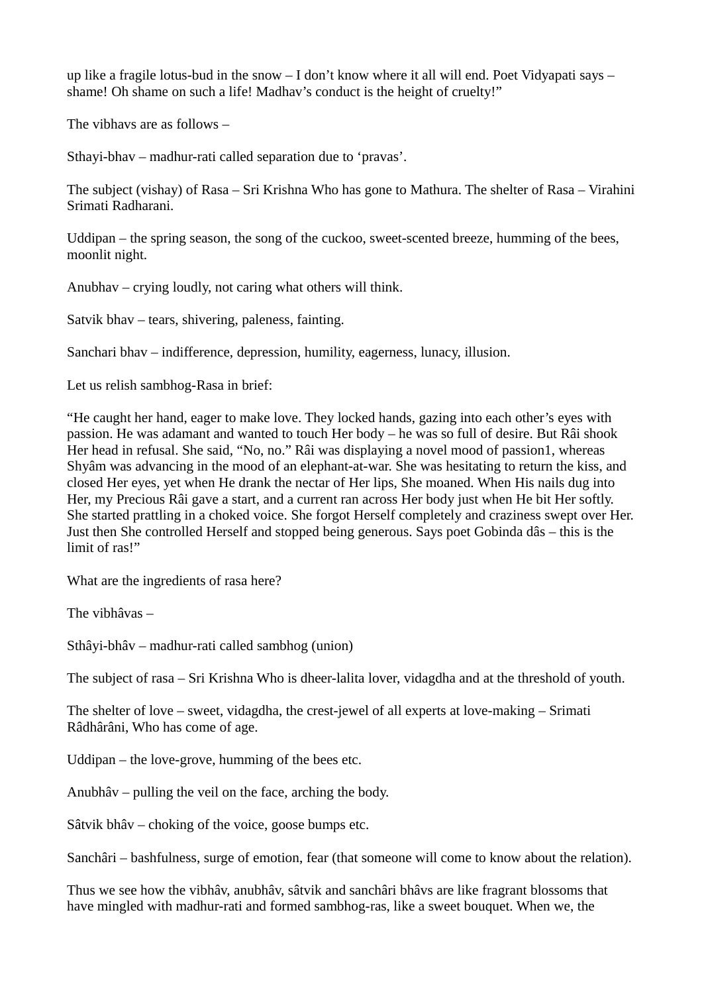up like a fragile lotus-bud in the snow  $-1$  don't know where it all will end. Poet Vidyapati says  $$ shame! Oh shame on such a life! Madhav's conduct is the height of cruelty!"

The vibhavs are as follows –

Sthayi-bhav – madhur-rati called separation due to 'pravas'.

The subject (vishay) of Rasa – Sri Krishna Who has gone to Mathura. The shelter of Rasa – Virahini Srimati Radharani.

Uddipan – the spring season, the song of the cuckoo, sweet-scented breeze, humming of the bees, moonlit night.

Anubhav – crying loudly, not caring what others will think.

Satvik bhav – tears, shivering, paleness, fainting.

Sanchari bhav – indifference, depression, humility, eagerness, lunacy, illusion.

Let us relish sambhog-Rasa in brief:

"He caught her hand, eager to make love. They locked hands, gazing into each other's eyes with passion. He was adamant and wanted to touch Her body – he was so full of desire. But Râi shook Her head in refusal. She said, "No, no." Râi was displaying a novel mood of passion1, whereas Shyâm was advancing in the mood of an elephant-at-war. She was hesitating to return the kiss, and closed Her eyes, yet when He drank the nectar of Her lips, She moaned. When His nails dug into Her, my Precious Râi gave a start, and a current ran across Her body just when He bit Her softly. She started prattling in a choked voice. She forgot Herself completely and craziness swept over Her. Just then She controlled Herself and stopped being generous. Says poet Gobinda dâs – this is the limit of ras!"

What are the ingredients of rasa here?

The vibhâvas –

Sthâyi-bhâv – madhur-rati called sambhog (union)

The subject of rasa – Sri Krishna Who is dheer-lalita lover, vidagdha and at the threshold of youth.

The shelter of love – sweet, vidagdha, the crest-jewel of all experts at love-making – Srimati Râdhârâni, Who has come of age.

Uddipan – the love-grove, humming of the bees etc.

Anubhâv – pulling the veil on the face, arching the body.

Sâtvik bhâv – choking of the voice, goose bumps etc.

Sanchâri – bashfulness, surge of emotion, fear (that someone will come to know about the relation).

Thus we see how the vibhâv, anubhâv, sâtvik and sanchâri bhâvs are like fragrant blossoms that have mingled with madhur-rati and formed sambhog-ras, like a sweet bouquet. When we, the